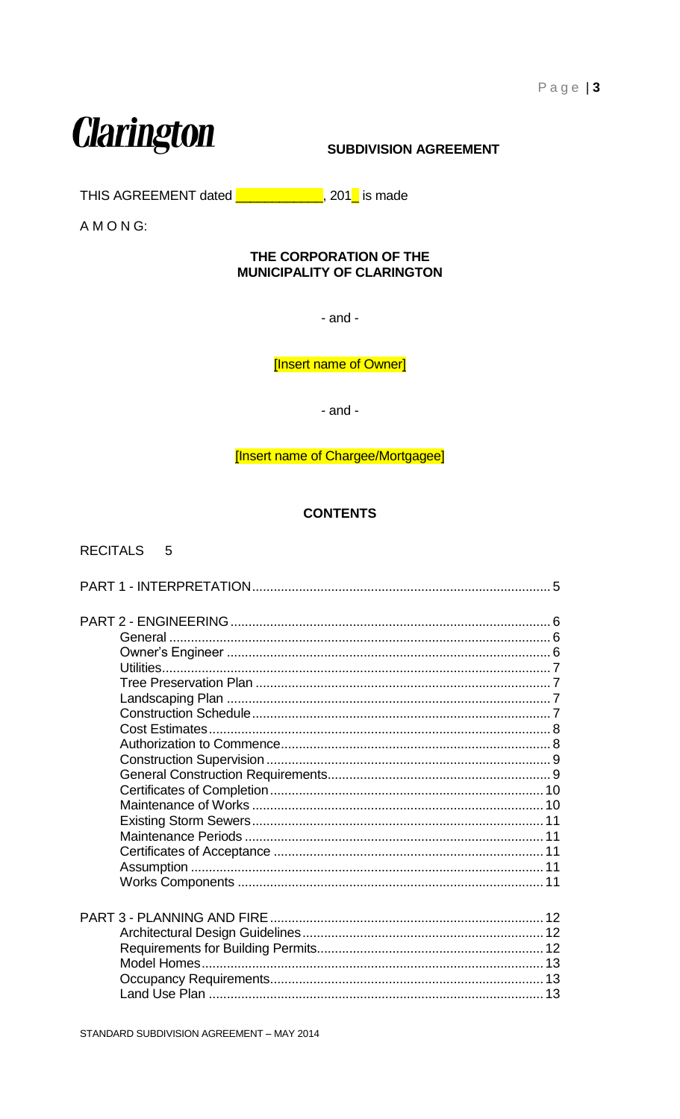# **Clarington**

# **SUBDIVISION AGREEMENT**

THIS AGREEMENT dated **University 201**, 201 is made

AMONG:

#### THE CORPORATION OF THE **MUNICIPALITY OF CLARINGTON**

 $-$  and  $-$ 

[Insert name of Owner]

 $-$  and  $-$ 

[Insert name of Chargee/Mortgagee]

# **CONTENTS**

# RECITALS 5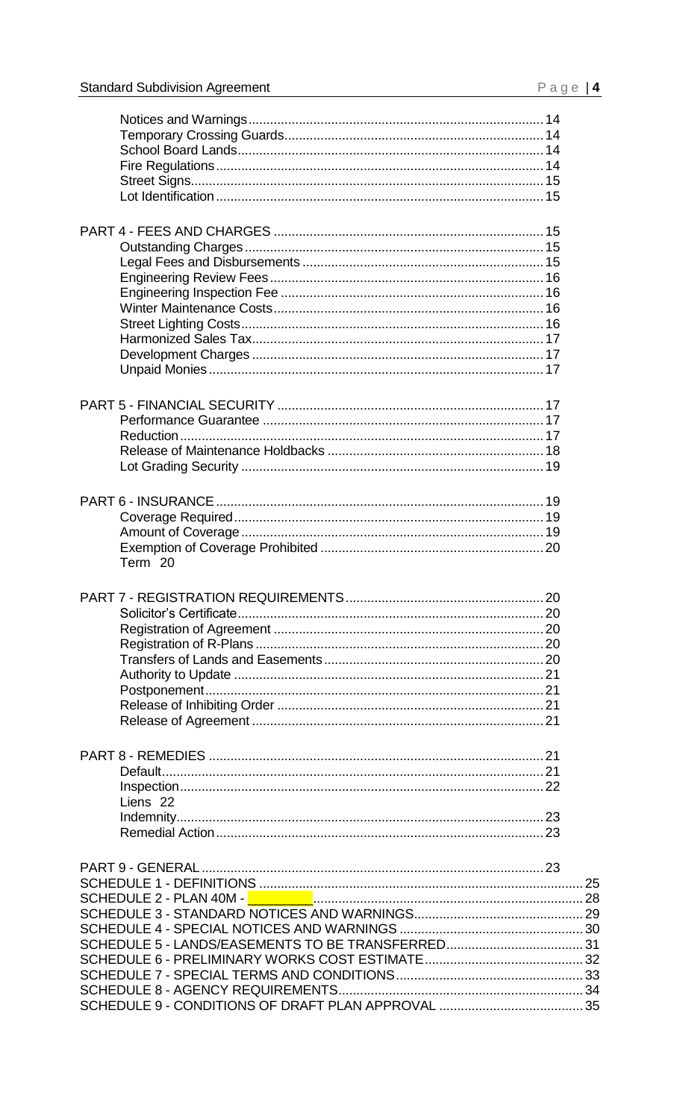| Term 20             |  |
|---------------------|--|
|                     |  |
|                     |  |
|                     |  |
|                     |  |
|                     |  |
|                     |  |
|                     |  |
|                     |  |
|                     |  |
|                     |  |
|                     |  |
|                     |  |
|                     |  |
|                     |  |
| Liens <sub>22</sub> |  |
|                     |  |
|                     |  |
|                     |  |
|                     |  |
|                     |  |
|                     |  |
|                     |  |
|                     |  |
|                     |  |
|                     |  |
|                     |  |
|                     |  |
|                     |  |
|                     |  |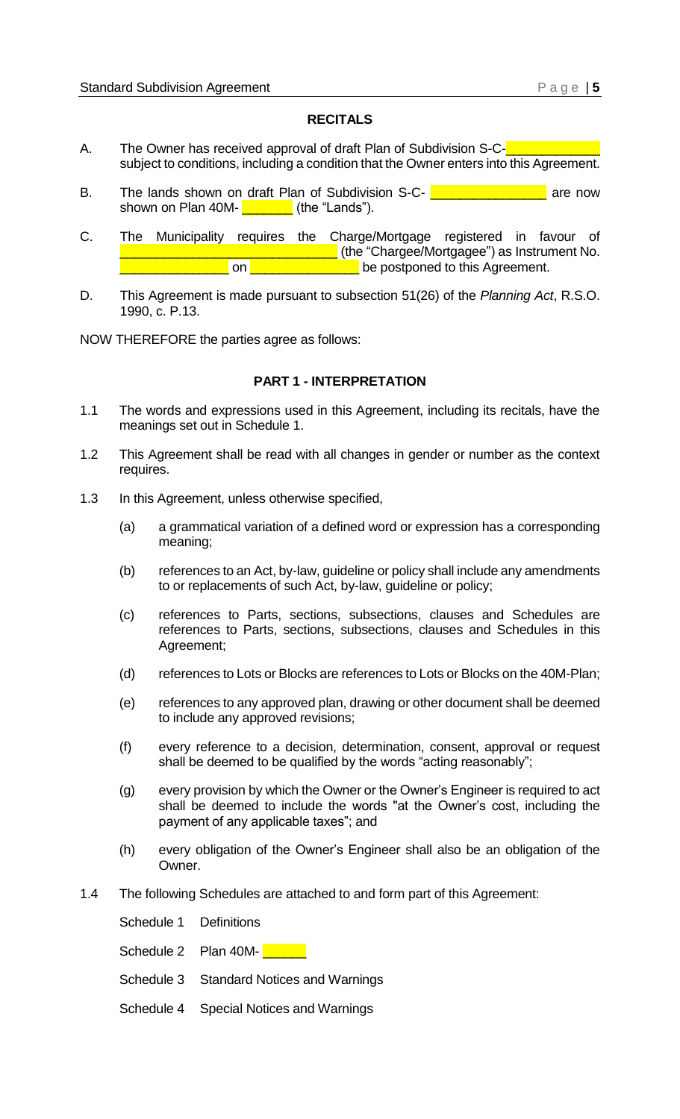#### **RECITALS**

- <span id="page-2-0"></span>A. The Owner has received approval of draft Plan of Subdivision S-Csubject to conditions, including a condition that the Owner enters into this Agreement.
- B. The lands shown on draft Plan of Subdivision S-C- **Langle Lines 2016** are now shown on Plan  $40M \blacksquare$  (the "Lands").
- C. The Municipality requires the Charge/Mortgage registered in favour of **with the "Chargee/Mortgagee") as Instrument No. L** on **EXECUTE: DEP** be postponed to this Agreement.
- D. This Agreement is made pursuant to subsection 51(26) of the *Planning Act*, R.S.O. 1990, c. P.13.

<span id="page-2-1"></span>NOW THEREFORE the parties agree as follows:

#### **PART 1 - INTERPRETATION**

- 1.1 The words and expressions used in this Agreement, including its recitals, have the meanings set out in Schedule 1.
- 1.2 This Agreement shall be read with all changes in gender or number as the context requires.
- 1.3 In this Agreement, unless otherwise specified,
	- (a) a grammatical variation of a defined word or expression has a corresponding meaning;
	- (b) references to an Act, by-law, guideline or policy shall include any amendments to or replacements of such Act, by-law, guideline or policy;
	- (c) references to Parts, sections, subsections, clauses and Schedules are references to Parts, sections, subsections, clauses and Schedules in this Agreement;
	- (d) references to Lots or Blocks are references to Lots or Blocks on the 40M-Plan;
	- (e) references to any approved plan, drawing or other document shall be deemed to include any approved revisions;
	- (f) every reference to a decision, determination, consent, approval or request shall be deemed to be qualified by the words "acting reasonably";
	- (g) every provision by which the Owner or the Owner's Engineer is required to act shall be deemed to include the words "at the Owner's cost, including the payment of any applicable taxes"; and
	- (h) every obligation of the Owner's Engineer shall also be an obligation of the Owner.
- 1.4 The following Schedules are attached to and form part of this Agreement:

Schedule 1 Definitions

Schedule 2 Plan 40M- $\frac{2}{\sqrt{2}}$ 

- Schedule 3 Standard Notices and Warnings
- Schedule 4 Special Notices and Warnings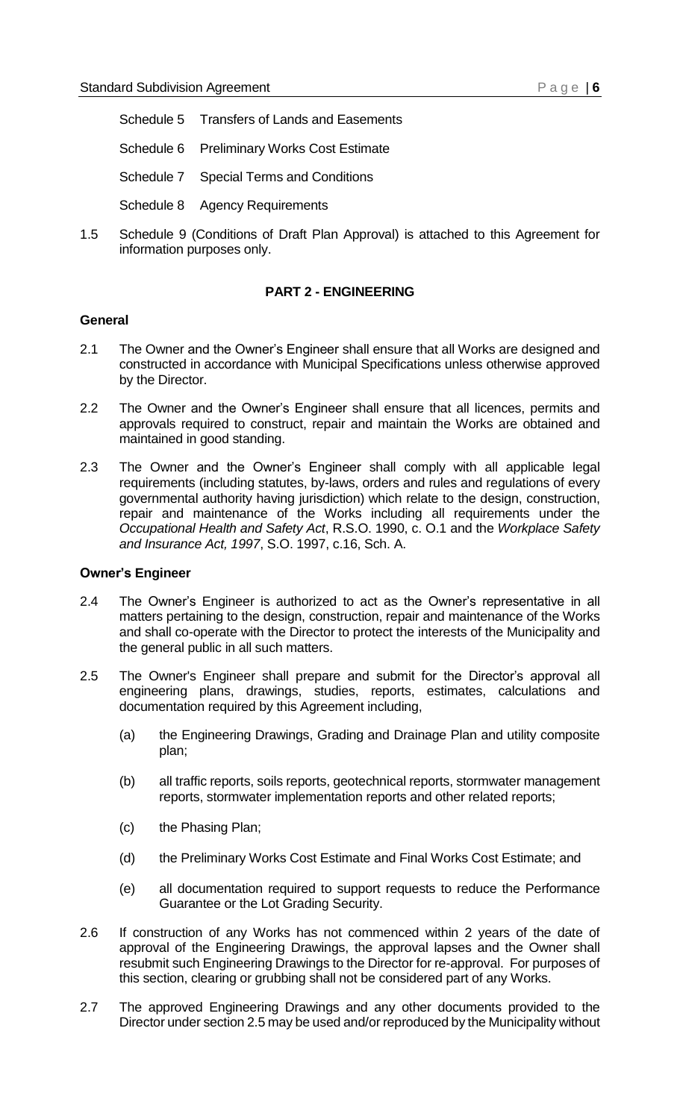- Schedule 5 Transfers of Lands and Easements
- Schedule 6 Preliminary Works Cost Estimate
- Schedule 7 Special Terms and Conditions
- Schedule 8 Agency Requirements
- 1.5 Schedule 9 (Conditions of Draft Plan Approval) is attached to this Agreement for information purposes only.

#### **PART 2 - ENGINEERING**

#### <span id="page-3-1"></span><span id="page-3-0"></span>**General**

- 2.1 The Owner and the Owner's Engineer shall ensure that all Works are designed and constructed in accordance with Municipal Specifications unless otherwise approved by the Director.
- 2.2 The Owner and the Owner's Engineer shall ensure that all licences, permits and approvals required to construct, repair and maintain the Works are obtained and maintained in good standing.
- 2.3 The Owner and the Owner's Engineer shall comply with all applicable legal requirements (including statutes, by-laws, orders and rules and regulations of every governmental authority having jurisdiction) which relate to the design, construction, repair and maintenance of the Works including all requirements under the *Occupational Health and Safety Act*, R.S.O. 1990, c. O.1 and the *Workplace Safety and Insurance Act, 1997*, S.O. 1997, c.16, Sch. A.

#### <span id="page-3-2"></span>**Owner's Engineer**

- 2.4 The Owner's Engineer is authorized to act as the Owner's representative in all matters pertaining to the design, construction, repair and maintenance of the Works and shall co-operate with the Director to protect the interests of the Municipality and the general public in all such matters.
- 2.5 The Owner's Engineer shall prepare and submit for the Director's approval all engineering plans, drawings, studies, reports, estimates, calculations and documentation required by this Agreement including,
	- (a) the Engineering Drawings, Grading and Drainage Plan and utility composite plan;
	- (b) all traffic reports, soils reports, geotechnical reports, stormwater management reports, stormwater implementation reports and other related reports;
	- (c) the Phasing Plan;
	- (d) the Preliminary Works Cost Estimate and Final Works Cost Estimate; and
	- (e) all documentation required to support requests to reduce the Performance Guarantee or the Lot Grading Security.
- 2.6 If construction of any Works has not commenced within 2 years of the date of approval of the Engineering Drawings, the approval lapses and the Owner shall resubmit such Engineering Drawings to the Director for re-approval. For purposes of this section, clearing or grubbing shall not be considered part of any Works.
- 2.7 The approved Engineering Drawings and any other documents provided to the Director under section 2.5 may be used and/or reproduced by the Municipality without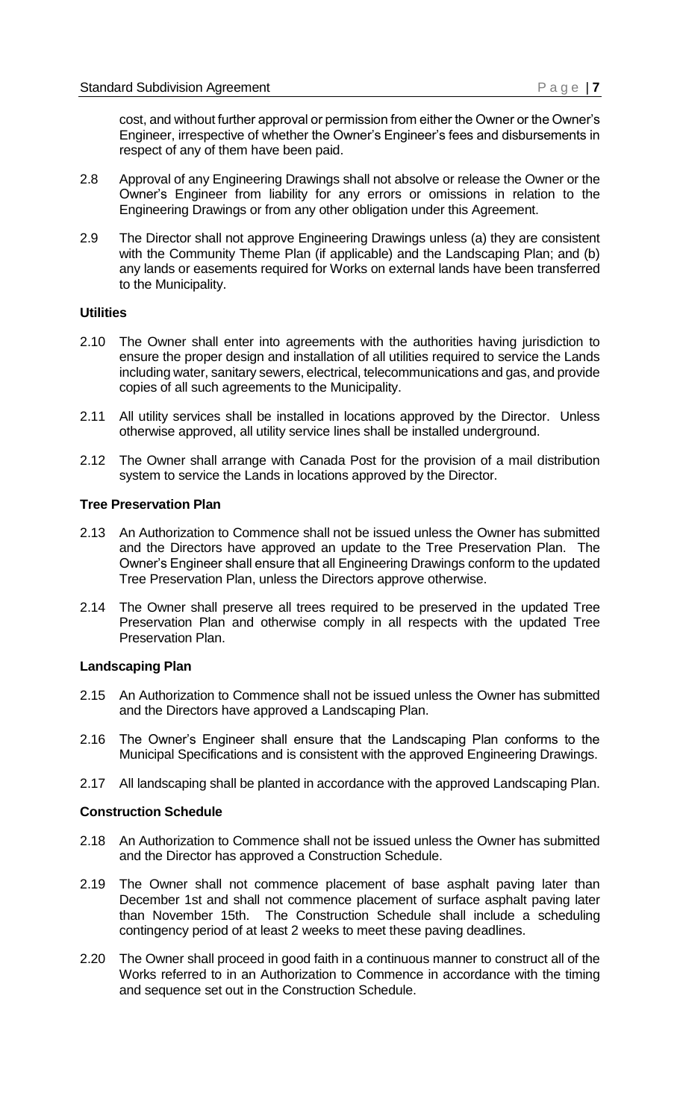cost, and without further approval or permission from either the Owner or the Owner's Engineer, irrespective of whether the Owner's Engineer's fees and disbursements in respect of any of them have been paid.

- 2.8 Approval of any Engineering Drawings shall not absolve or release the Owner or the Owner's Engineer from liability for any errors or omissions in relation to the Engineering Drawings or from any other obligation under this Agreement.
- 2.9 The Director shall not approve Engineering Drawings unless (a) they are consistent with the Community Theme Plan (if applicable) and the Landscaping Plan; and (b) any lands or easements required for Works on external lands have been transferred to the Municipality.

#### <span id="page-4-0"></span>**Utilities**

- 2.10 The Owner shall enter into agreements with the authorities having jurisdiction to ensure the proper design and installation of all utilities required to service the Lands including water, sanitary sewers, electrical, telecommunications and gas, and provide copies of all such agreements to the Municipality.
- 2.11 All utility services shall be installed in locations approved by the Director. Unless otherwise approved, all utility service lines shall be installed underground.
- 2.12 The Owner shall arrange with Canada Post for the provision of a mail distribution system to service the Lands in locations approved by the Director.

#### <span id="page-4-1"></span>**Tree Preservation Plan**

- 2.13 An Authorization to Commence shall not be issued unless the Owner has submitted and the Directors have approved an update to the Tree Preservation Plan. The Owner's Engineer shall ensure that all Engineering Drawings conform to the updated Tree Preservation Plan, unless the Directors approve otherwise.
- 2.14 The Owner shall preserve all trees required to be preserved in the updated Tree Preservation Plan and otherwise comply in all respects with the updated Tree Preservation Plan.

#### <span id="page-4-2"></span>**Landscaping Plan**

- 2.15 An Authorization to Commence shall not be issued unless the Owner has submitted and the Directors have approved a Landscaping Plan.
- 2.16 The Owner's Engineer shall ensure that the Landscaping Plan conforms to the Municipal Specifications and is consistent with the approved Engineering Drawings.
- 2.17 All landscaping shall be planted in accordance with the approved Landscaping Plan.

#### <span id="page-4-3"></span>**Construction Schedule**

- 2.18 An Authorization to Commence shall not be issued unless the Owner has submitted and the Director has approved a Construction Schedule.
- 2.19 The Owner shall not commence placement of base asphalt paving later than December 1st and shall not commence placement of surface asphalt paving later than November 15th. The Construction Schedule shall include a scheduling contingency period of at least 2 weeks to meet these paving deadlines.
- 2.20 The Owner shall proceed in good faith in a continuous manner to construct all of the Works referred to in an Authorization to Commence in accordance with the timing and sequence set out in the Construction Schedule.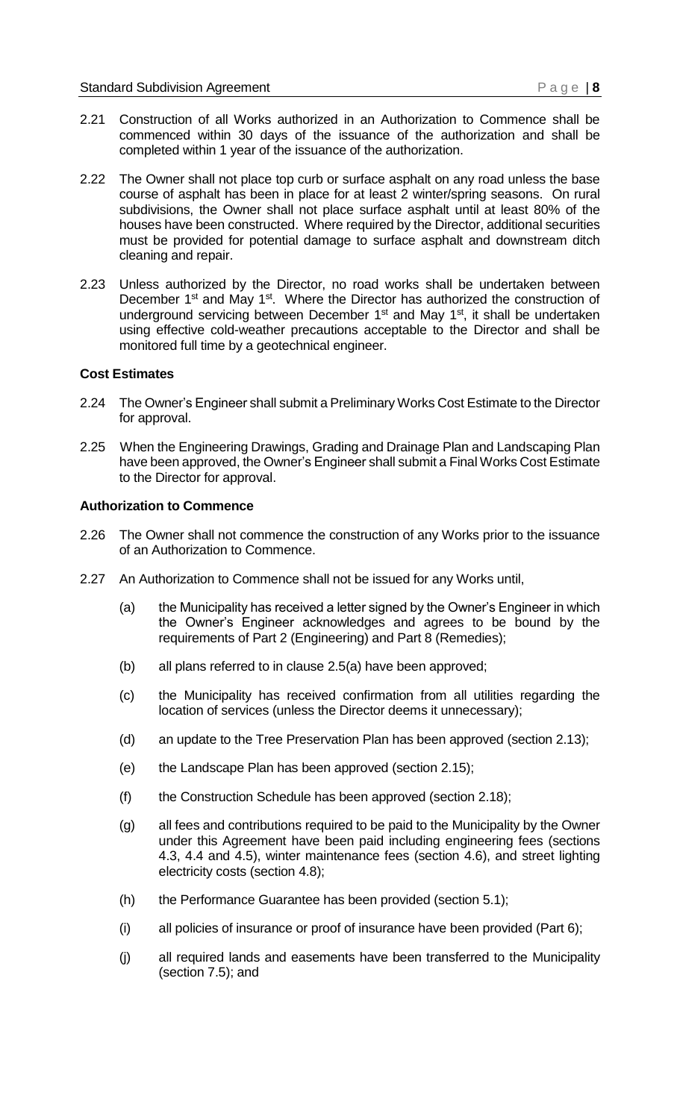- 2.21 Construction of all Works authorized in an Authorization to Commence shall be commenced within 30 days of the issuance of the authorization and shall be completed within 1 year of the issuance of the authorization.
- 2.22 The Owner shall not place top curb or surface asphalt on any road unless the base course of asphalt has been in place for at least 2 winter/spring seasons. On rural subdivisions, the Owner shall not place surface asphalt until at least 80% of the houses have been constructed. Where required by the Director, additional securities must be provided for potential damage to surface asphalt and downstream ditch cleaning and repair.
- 2.23 Unless authorized by the Director, no road works shall be undertaken between December 1<sup>st</sup> and May 1<sup>st</sup>. Where the Director has authorized the construction of underground servicing between December 1<sup>st</sup> and May 1<sup>st</sup>, it shall be undertaken using effective cold-weather precautions acceptable to the Director and shall be monitored full time by a geotechnical engineer.

#### <span id="page-5-0"></span>**Cost Estimates**

- 2.24 The Owner's Engineer shall submit a Preliminary Works Cost Estimate to the Director for approval.
- 2.25 When the Engineering Drawings, Grading and Drainage Plan and Landscaping Plan have been approved, the Owner's Engineer shall submit a Final Works Cost Estimate to the Director for approval.

#### <span id="page-5-1"></span>**Authorization to Commence**

- 2.26 The Owner shall not commence the construction of any Works prior to the issuance of an Authorization to Commence.
- 2.27 An Authorization to Commence shall not be issued for any Works until,
	- (a) the Municipality has received a letter signed by the Owner's Engineer in which the Owner's Engineer acknowledges and agrees to be bound by the requirements of Part 2 (Engineering) and Part 8 (Remedies);
	- (b) all plans referred to in clause 2.5(a) have been approved;
	- (c) the Municipality has received confirmation from all utilities regarding the location of services (unless the Director deems it unnecessary);
	- (d) an update to the Tree Preservation Plan has been approved (section 2.13);
	- (e) the Landscape Plan has been approved (section 2.15);
	- (f) the Construction Schedule has been approved (section 2.18);
	- (g) all fees and contributions required to be paid to the Municipality by the Owner under this Agreement have been paid including engineering fees (sections 4.3, 4.4 and 4.5), winter maintenance fees (section 4.6), and street lighting electricity costs (section 4.8);
	- (h) the Performance Guarantee has been provided (section 5.1);
	- (i) all policies of insurance or proof of insurance have been provided (Part 6);
	- (j) all required lands and easements have been transferred to the Municipality (section 7.5); and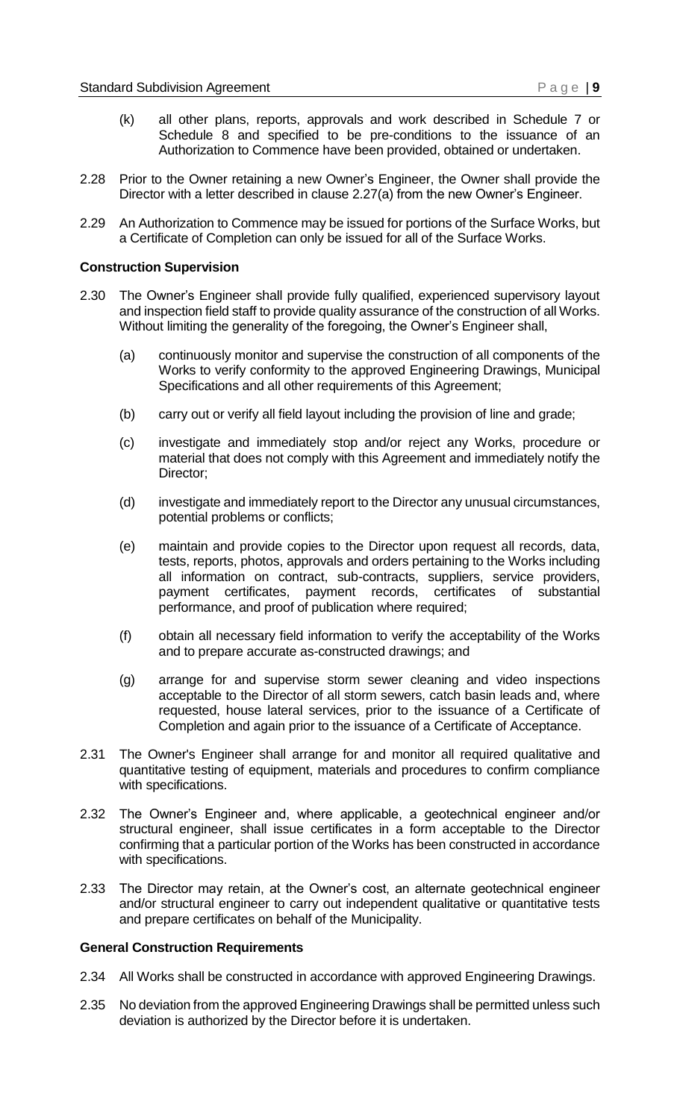- (k) all other plans, reports, approvals and work described in Schedule 7 or Schedule 8 and specified to be pre-conditions to the issuance of an Authorization to Commence have been provided, obtained or undertaken.
- 2.28 Prior to the Owner retaining a new Owner's Engineer, the Owner shall provide the Director with a letter described in clause 2.27(a) from the new Owner's Engineer.
- 2.29 An Authorization to Commence may be issued for portions of the Surface Works, but a Certificate of Completion can only be issued for all of the Surface Works.

#### <span id="page-6-0"></span>**Construction Supervision**

- 2.30 The Owner's Engineer shall provide fully qualified, experienced supervisory layout and inspection field staff to provide quality assurance of the construction of all Works. Without limiting the generality of the foregoing, the Owner's Engineer shall,
	- (a) continuously monitor and supervise the construction of all components of the Works to verify conformity to the approved Engineering Drawings, Municipal Specifications and all other requirements of this Agreement;
	- (b) carry out or verify all field layout including the provision of line and grade;
	- (c) investigate and immediately stop and/or reject any Works, procedure or material that does not comply with this Agreement and immediately notify the Director;
	- (d) investigate and immediately report to the Director any unusual circumstances, potential problems or conflicts;
	- (e) maintain and provide copies to the Director upon request all records, data, tests, reports, photos, approvals and orders pertaining to the Works including all information on contract, sub-contracts, suppliers, service providers, payment certificates, payment records, certificates of substantial performance, and proof of publication where required;
	- (f) obtain all necessary field information to verify the acceptability of the Works and to prepare accurate as-constructed drawings; and
	- (g) arrange for and supervise storm sewer cleaning and video inspections acceptable to the Director of all storm sewers, catch basin leads and, where requested, house lateral services, prior to the issuance of a Certificate of Completion and again prior to the issuance of a Certificate of Acceptance.
- 2.31 The Owner's Engineer shall arrange for and monitor all required qualitative and quantitative testing of equipment, materials and procedures to confirm compliance with specifications.
- 2.32 The Owner's Engineer and, where applicable, a geotechnical engineer and/or structural engineer, shall issue certificates in a form acceptable to the Director confirming that a particular portion of the Works has been constructed in accordance with specifications.
- 2.33 The Director may retain, at the Owner's cost, an alternate geotechnical engineer and/or structural engineer to carry out independent qualitative or quantitative tests and prepare certificates on behalf of the Municipality.

#### <span id="page-6-1"></span>**General Construction Requirements**

- 2.34 All Works shall be constructed in accordance with approved Engineering Drawings.
- 2.35 No deviation from the approved Engineering Drawings shall be permitted unless such deviation is authorized by the Director before it is undertaken.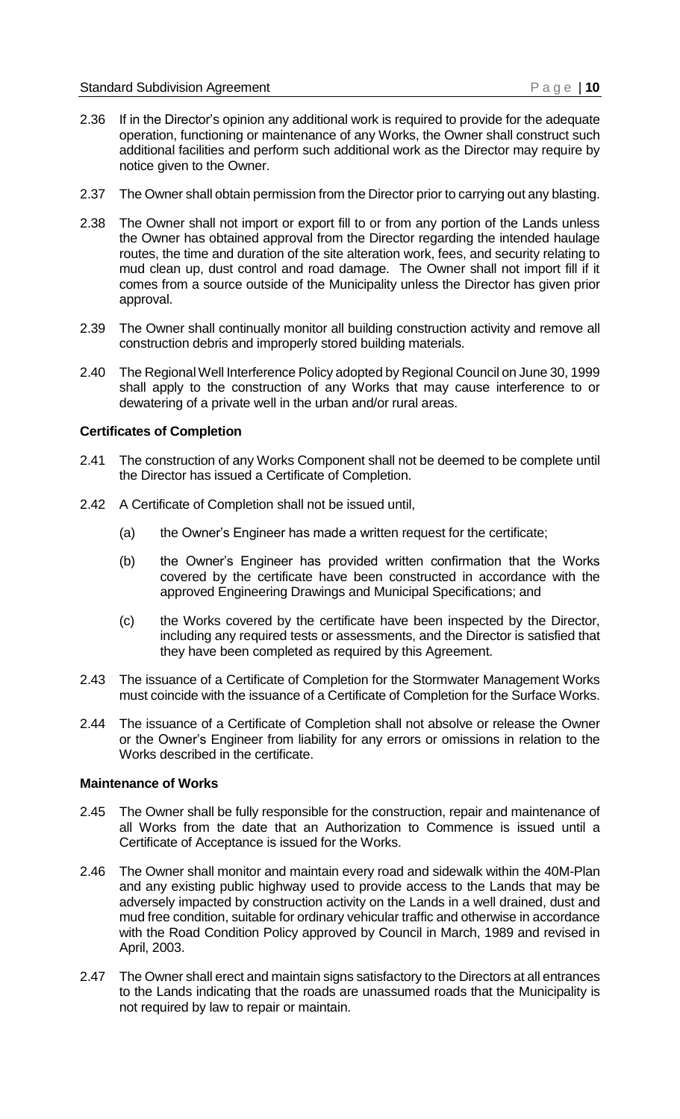- 2.36 If in the Director's opinion any additional work is required to provide for the adequate operation, functioning or maintenance of any Works, the Owner shall construct such additional facilities and perform such additional work as the Director may require by notice given to the Owner.
- 2.37 The Owner shall obtain permission from the Director prior to carrying out any blasting.
- 2.38 The Owner shall not import or export fill to or from any portion of the Lands unless the Owner has obtained approval from the Director regarding the intended haulage routes, the time and duration of the site alteration work, fees, and security relating to mud clean up, dust control and road damage. The Owner shall not import fill if it comes from a source outside of the Municipality unless the Director has given prior approval.
- 2.39 The Owner shall continually monitor all building construction activity and remove all construction debris and improperly stored building materials.
- 2.40 The Regional Well Interference Policy adopted by Regional Council on June 30, 1999 shall apply to the construction of any Works that may cause interference to or dewatering of a private well in the urban and/or rural areas.

#### <span id="page-7-0"></span>**Certificates of Completion**

- 2.41 The construction of any Works Component shall not be deemed to be complete until the Director has issued a Certificate of Completion.
- 2.42 A Certificate of Completion shall not be issued until,
	- (a) the Owner's Engineer has made a written request for the certificate;
	- (b) the Owner's Engineer has provided written confirmation that the Works covered by the certificate have been constructed in accordance with the approved Engineering Drawings and Municipal Specifications; and
	- (c) the Works covered by the certificate have been inspected by the Director, including any required tests or assessments, and the Director is satisfied that they have been completed as required by this Agreement.
- 2.43 The issuance of a Certificate of Completion for the Stormwater Management Works must coincide with the issuance of a Certificate of Completion for the Surface Works.
- 2.44 The issuance of a Certificate of Completion shall not absolve or release the Owner or the Owner's Engineer from liability for any errors or omissions in relation to the Works described in the certificate.

#### <span id="page-7-1"></span>**Maintenance of Works**

- 2.45 The Owner shall be fully responsible for the construction, repair and maintenance of all Works from the date that an Authorization to Commence is issued until a Certificate of Acceptance is issued for the Works.
- 2.46 The Owner shall monitor and maintain every road and sidewalk within the 40M-Plan and any existing public highway used to provide access to the Lands that may be adversely impacted by construction activity on the Lands in a well drained, dust and mud free condition, suitable for ordinary vehicular traffic and otherwise in accordance with the Road Condition Policy approved by Council in March, 1989 and revised in April, 2003.
- 2.47 The Owner shall erect and maintain signs satisfactory to the Directors at all entrances to the Lands indicating that the roads are unassumed roads that the Municipality is not required by law to repair or maintain.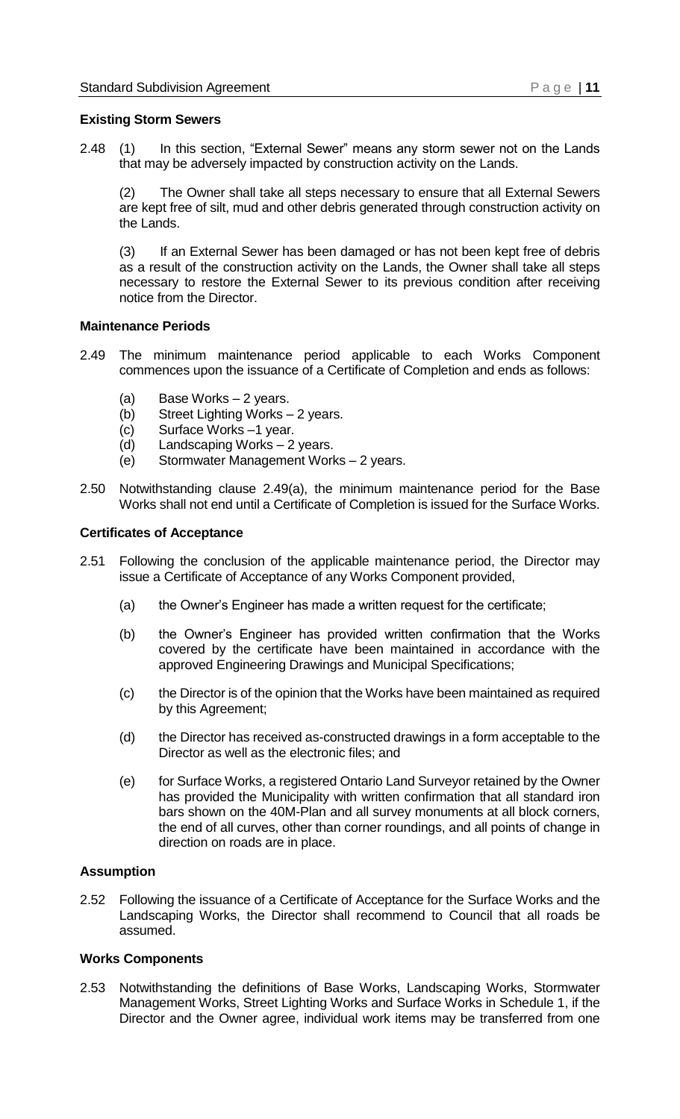#### <span id="page-8-0"></span>**Existing Storm Sewers**

2.48 (1) In this section, "External Sewer" means any storm sewer not on the Lands that may be adversely impacted by construction activity on the Lands.

(2) The Owner shall take all steps necessary to ensure that all External Sewers are kept free of silt, mud and other debris generated through construction activity on the Lands.

(3) If an External Sewer has been damaged or has not been kept free of debris as a result of the construction activity on the Lands, the Owner shall take all steps necessary to restore the External Sewer to its previous condition after receiving notice from the Director.

#### <span id="page-8-1"></span>**Maintenance Periods**

- 2.49 The minimum maintenance period applicable to each Works Component commences upon the issuance of a Certificate of Completion and ends as follows:
	- (a) Base Works 2 years.
	- (b) Street Lighting Works 2 years.
	- (c) Surface Works –1 year.
	- (d) Landscaping Works 2 years.
	- (e) Stormwater Management Works 2 years.
- 2.50 Notwithstanding clause 2.49(a), the minimum maintenance period for the Base Works shall not end until a Certificate of Completion is issued for the Surface Works.

#### <span id="page-8-2"></span>**Certificates of Acceptance**

- 2.51 Following the conclusion of the applicable maintenance period, the Director may issue a Certificate of Acceptance of any Works Component provided,
	- (a) the Owner's Engineer has made a written request for the certificate;
	- (b) the Owner's Engineer has provided written confirmation that the Works covered by the certificate have been maintained in accordance with the approved Engineering Drawings and Municipal Specifications;
	- (c) the Director is of the opinion that the Works have been maintained as required by this Agreement;
	- (d) the Director has received as-constructed drawings in a form acceptable to the Director as well as the electronic files; and
	- (e) for Surface Works, a registered Ontario Land Surveyor retained by the Owner has provided the Municipality with written confirmation that all standard iron bars shown on the 40M-Plan and all survey monuments at all block corners, the end of all curves, other than corner roundings, and all points of change in direction on roads are in place.

#### <span id="page-8-3"></span>**Assumption**

2.52 Following the issuance of a Certificate of Acceptance for the Surface Works and the Landscaping Works, the Director shall recommend to Council that all roads be assumed.

#### <span id="page-8-4"></span>**Works Components**

2.53 Notwithstanding the definitions of Base Works, Landscaping Works, Stormwater Management Works, Street Lighting Works and Surface Works in Schedule 1, if the Director and the Owner agree, individual work items may be transferred from one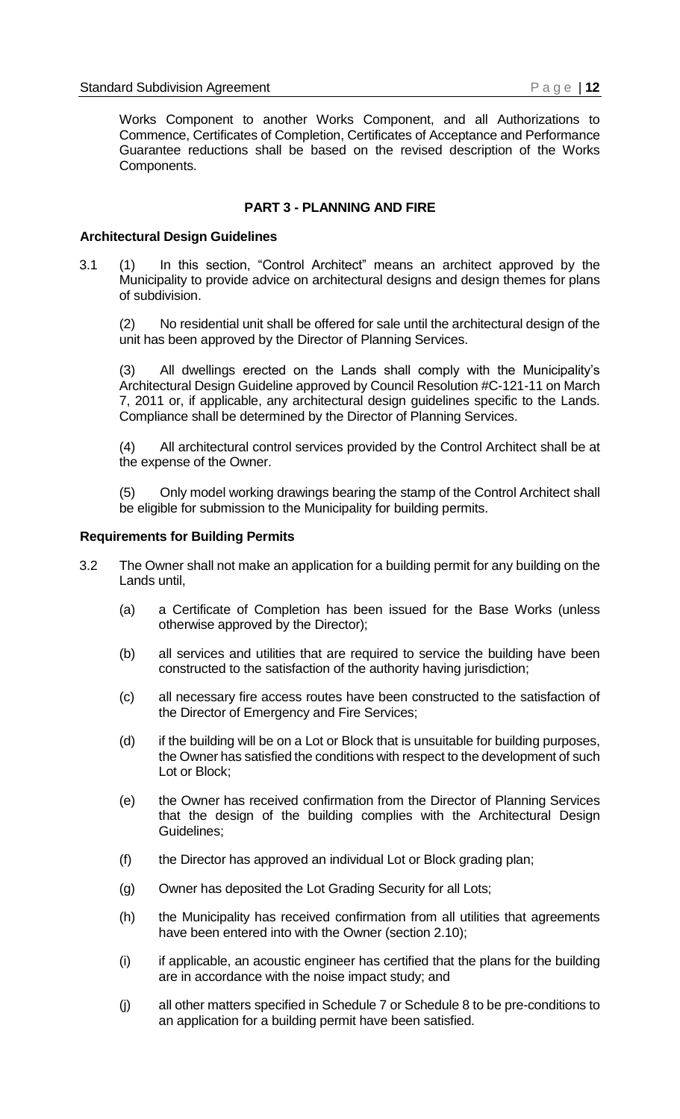Works Component to another Works Component, and all Authorizations to Commence, Certificates of Completion, Certificates of Acceptance and Performance Guarantee reductions shall be based on the revised description of the Works Components.

#### **PART 3 - PLANNING AND FIRE**

#### <span id="page-9-1"></span><span id="page-9-0"></span>**Architectural Design Guidelines**

3.1 (1) In this section, "Control Architect" means an architect approved by the Municipality to provide advice on architectural designs and design themes for plans of subdivision.

(2) No residential unit shall be offered for sale until the architectural design of the unit has been approved by the Director of Planning Services.

(3) All dwellings erected on the Lands shall comply with the Municipality's Architectural Design Guideline approved by Council Resolution #C-121-11 on March 7, 2011 or, if applicable, any architectural design guidelines specific to the Lands. Compliance shall be determined by the Director of Planning Services.

(4) All architectural control services provided by the Control Architect shall be at the expense of the Owner.

(5) Only model working drawings bearing the stamp of the Control Architect shall be eligible for submission to the Municipality for building permits.

#### <span id="page-9-2"></span>**Requirements for Building Permits**

- 3.2 The Owner shall not make an application for a building permit for any building on the Lands until,
	- (a) a Certificate of Completion has been issued for the Base Works (unless otherwise approved by the Director);
	- (b) all services and utilities that are required to service the building have been constructed to the satisfaction of the authority having jurisdiction;
	- (c) all necessary fire access routes have been constructed to the satisfaction of the Director of Emergency and Fire Services;
	- (d) if the building will be on a Lot or Block that is unsuitable for building purposes, the Owner has satisfied the conditions with respect to the development of such Lot or Block;
	- (e) the Owner has received confirmation from the Director of Planning Services that the design of the building complies with the Architectural Design Guidelines;
	- (f) the Director has approved an individual Lot or Block grading plan;
	- (g) Owner has deposited the Lot Grading Security for all Lots;
	- (h) the Municipality has received confirmation from all utilities that agreements have been entered into with the Owner (section 2.10);
	- (i) if applicable, an acoustic engineer has certified that the plans for the building are in accordance with the noise impact study; and
	- (j) all other matters specified in Schedule 7 or Schedule 8 to be pre-conditions to an application for a building permit have been satisfied.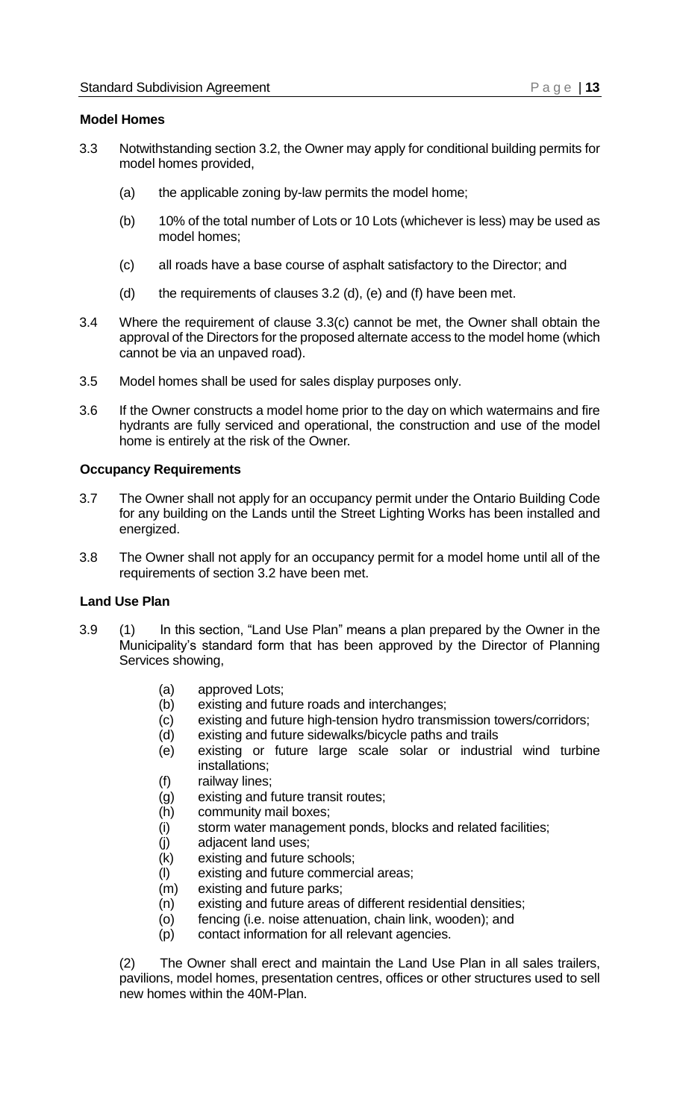#### <span id="page-10-0"></span>**Model Homes**

- 3.3 Notwithstanding section 3.2, the Owner may apply for conditional building permits for model homes provided,
	- (a) the applicable zoning by-law permits the model home;
	- (b) 10% of the total number of Lots or 10 Lots (whichever is less) may be used as model homes;
	- (c) all roads have a base course of asphalt satisfactory to the Director; and
	- (d) the requirements of clauses  $3.2$  (d), (e) and (f) have been met.
- 3.4 Where the requirement of clause 3.3(c) cannot be met, the Owner shall obtain the approval of the Directors for the proposed alternate access to the model home (which cannot be via an unpaved road).
- 3.5 Model homes shall be used for sales display purposes only.
- 3.6 If the Owner constructs a model home prior to the day on which watermains and fire hydrants are fully serviced and operational, the construction and use of the model home is entirely at the risk of the Owner*.*

#### <span id="page-10-1"></span>**Occupancy Requirements**

- 3.7 The Owner shall not apply for an occupancy permit under the Ontario Building Code for any building on the Lands until the Street Lighting Works has been installed and energized.
- 3.8 The Owner shall not apply for an occupancy permit for a model home until all of the requirements of section 3.2 have been met.

#### <span id="page-10-2"></span>**Land Use Plan**

- 3.9 (1) In this section, "Land Use Plan" means a plan prepared by the Owner in the Municipality's standard form that has been approved by the Director of Planning Services showing,
	- (a) approved Lots;
	- (b) existing and future roads and interchanges;
	- (c) existing and future high-tension hydro transmission towers/corridors;
	- (d) existing and future sidewalks/bicycle paths and trails
	- (e) existing or future large scale solar or industrial wind turbine installations;
	- (f) railway lines;
	- (g) existing and future transit routes;
	- (h) community mail boxes;
	- (i) storm water management ponds, blocks and related facilities;
	- (j) adjacent land uses;
	- (k) existing and future schools;
	- (l) existing and future commercial areas;
	- (m) existing and future parks;
	- (n) existing and future areas of different residential densities;
	- (o) fencing (i.e. noise attenuation, chain link, wooden); and
	- (p) contact information for all relevant agencies.

(2) The Owner shall erect and maintain the Land Use Plan in all sales trailers, pavilions, model homes, presentation centres, offices or other structures used to sell new homes within the 40M-Plan.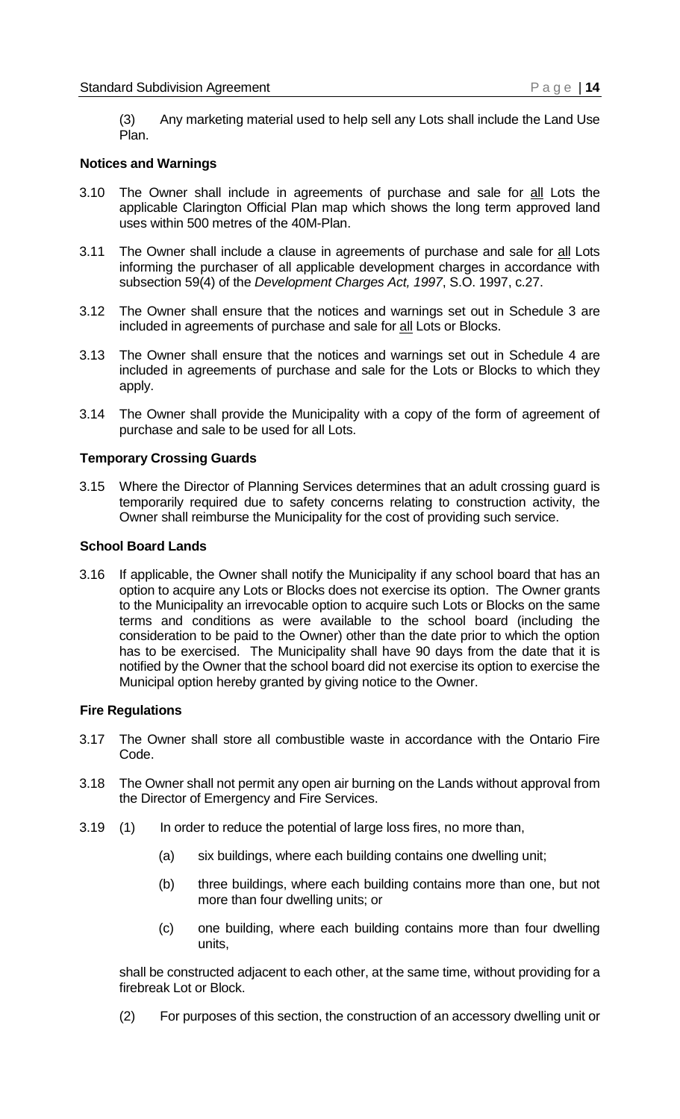(3) Any marketing material used to help sell any Lots shall include the Land Use Plan.

#### <span id="page-11-0"></span>**Notices and Warnings**

- 3.10 The Owner shall include in agreements of purchase and sale for all Lots the applicable Clarington Official Plan map which shows the long term approved land uses within 500 metres of the 40M-Plan.
- 3.11 The Owner shall include a clause in agreements of purchase and sale for all Lots informing the purchaser of all applicable development charges in accordance with subsection 59(4) of the *Development Charges Act, 1997*, S.O. 1997, c.27.
- 3.12 The Owner shall ensure that the notices and warnings set out in Schedule 3 are included in agreements of purchase and sale for all Lots or Blocks.
- 3.13 The Owner shall ensure that the notices and warnings set out in Schedule 4 are included in agreements of purchase and sale for the Lots or Blocks to which they apply.
- 3.14 The Owner shall provide the Municipality with a copy of the form of agreement of purchase and sale to be used for all Lots.

#### <span id="page-11-1"></span>**Temporary Crossing Guards**

3.15 Where the Director of Planning Services determines that an adult crossing guard is temporarily required due to safety concerns relating to construction activity, the Owner shall reimburse the Municipality for the cost of providing such service.

#### <span id="page-11-2"></span>**School Board Lands**

3.16 If applicable, the Owner shall notify the Municipality if any school board that has an option to acquire any Lots or Blocks does not exercise its option. The Owner grants to the Municipality an irrevocable option to acquire such Lots or Blocks on the same terms and conditions as were available to the school board (including the consideration to be paid to the Owner) other than the date prior to which the option has to be exercised. The Municipality shall have 90 days from the date that it is notified by the Owner that the school board did not exercise its option to exercise the Municipal option hereby granted by giving notice to the Owner.

#### <span id="page-11-3"></span>**Fire Regulations**

- 3.17 The Owner shall store all combustible waste in accordance with the Ontario Fire Code.
- 3.18 The Owner shall not permit any open air burning on the Lands without approval from the Director of Emergency and Fire Services.
- 3.19 (1) In order to reduce the potential of large loss fires, no more than,
	- (a) six buildings, where each building contains one dwelling unit;
	- (b) three buildings, where each building contains more than one, but not more than four dwelling units; or
	- (c) one building, where each building contains more than four dwelling units,

shall be constructed adjacent to each other, at the same time, without providing for a firebreak Lot or Block.

(2) For purposes of this section, the construction of an accessory dwelling unit or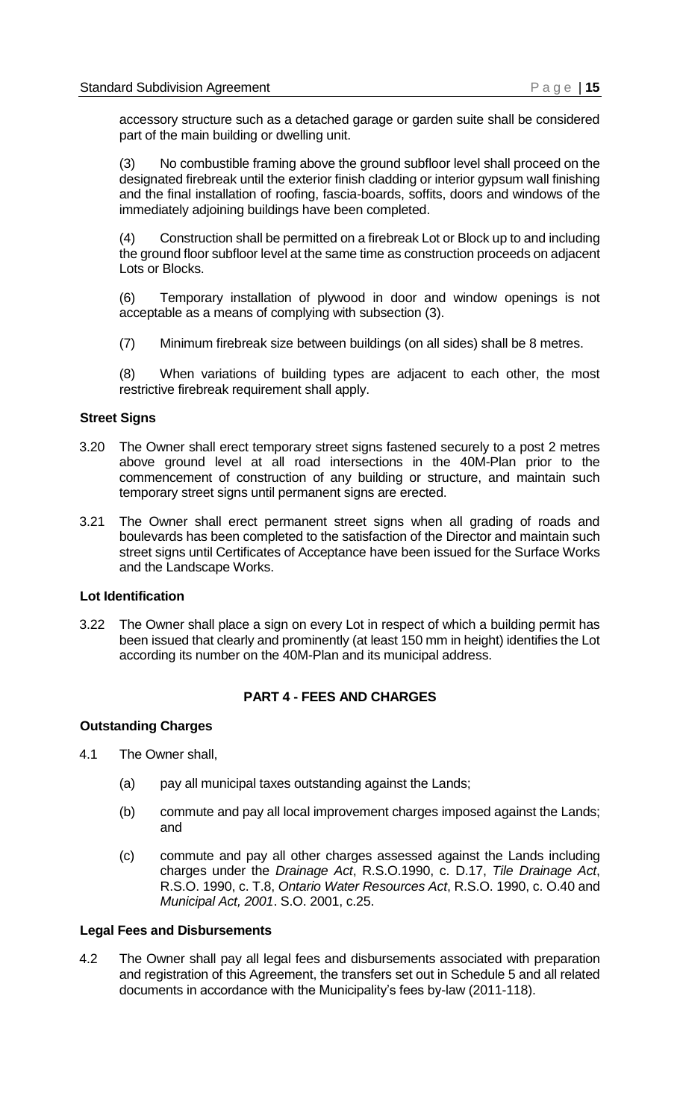accessory structure such as a detached garage or garden suite shall be considered part of the main building or dwelling unit.

(3) No combustible framing above the ground subfloor level shall proceed on the designated firebreak until the exterior finish cladding or interior gypsum wall finishing and the final installation of roofing, fascia-boards, soffits, doors and windows of the immediately adjoining buildings have been completed.

(4) Construction shall be permitted on a firebreak Lot or Block up to and including the ground floor subfloor level at the same time as construction proceeds on adjacent Lots or Blocks.

(6) Temporary installation of plywood in door and window openings is not acceptable as a means of complying with subsection (3).

(7) Minimum firebreak size between buildings (on all sides) shall be 8 metres.

(8) When variations of building types are adjacent to each other, the most restrictive firebreak requirement shall apply.

#### <span id="page-12-0"></span>**Street Signs**

- 3.20 The Owner shall erect temporary street signs fastened securely to a post 2 metres above ground level at all road intersections in the 40M-Plan prior to the commencement of construction of any building or structure, and maintain such temporary street signs until permanent signs are erected.
- 3.21 The Owner shall erect permanent street signs when all grading of roads and boulevards has been completed to the satisfaction of the Director and maintain such street signs until Certificates of Acceptance have been issued for the Surface Works and the Landscape Works.

#### <span id="page-12-1"></span>**Lot Identification**

3.22 The Owner shall place a sign on every Lot in respect of which a building permit has been issued that clearly and prominently (at least 150 mm in height) identifies the Lot according its number on the 40M-Plan and its municipal address.

#### **PART 4 - FEES AND CHARGES**

#### <span id="page-12-3"></span><span id="page-12-2"></span>**Outstanding Charges**

- 4.1 The Owner shall,
	- (a) pay all municipal taxes outstanding against the Lands;
	- (b) commute and pay all local improvement charges imposed against the Lands; and
	- (c) commute and pay all other charges assessed against the Lands including charges under the *Drainage Act*, R.S.O.1990, c. D.17, *Tile Drainage Act*, R.S.O. 1990, c. T.8, *Ontario Water Resources Act*, R.S.O. 1990, c. O.40 and *Municipal Act, 2001*. S.O. 2001, c.25.

#### <span id="page-12-4"></span>**Legal Fees and Disbursements**

4.2 The Owner shall pay all legal fees and disbursements associated with preparation and registration of this Agreement, the transfers set out in Schedule 5 and all related documents in accordance with the Municipality's fees by-law (2011-118).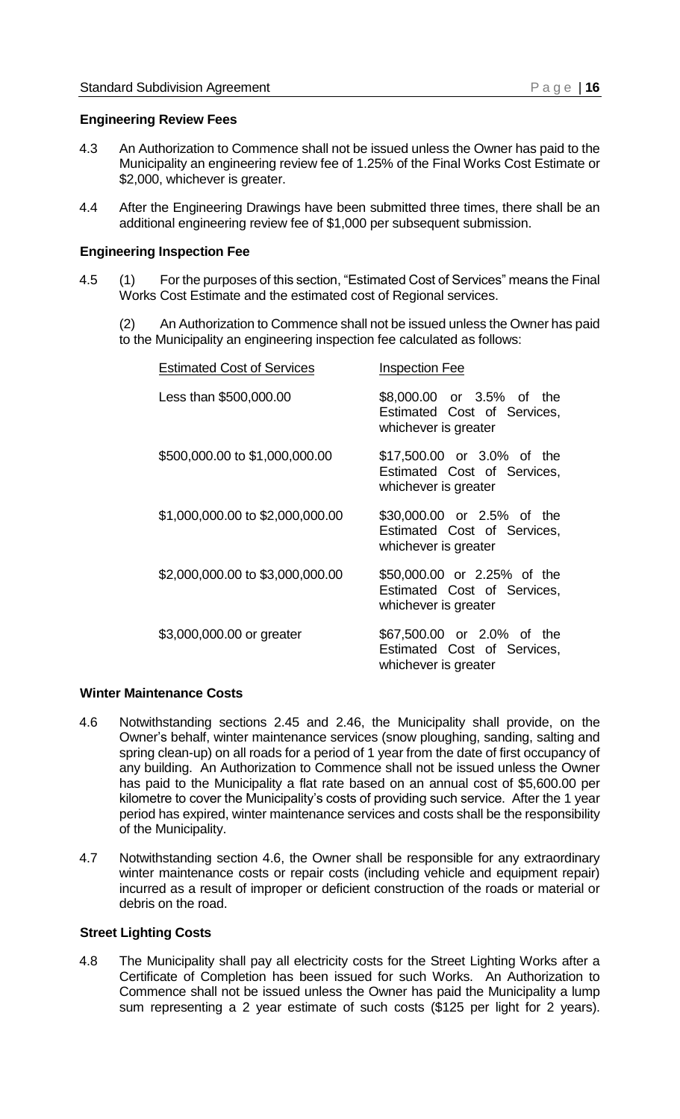#### <span id="page-13-0"></span>**Engineering Review Fees**

- 4.3 An Authorization to Commence shall not be issued unless the Owner has paid to the Municipality an engineering review fee of 1.25% of the Final Works Cost Estimate or \$2,000, whichever is greater.
- 4.4 After the Engineering Drawings have been submitted three times, there shall be an additional engineering review fee of \$1,000 per subsequent submission.

#### <span id="page-13-1"></span>**Engineering Inspection Fee**

4.5 (1) For the purposes of this section, "Estimated Cost of Services" means the Final Works Cost Estimate and the estimated cost of Regional services.

(2) An Authorization to Commence shall not be issued unless the Owner has paid to the Municipality an engineering inspection fee calculated as follows:

| <b>Estimated Cost of Services</b> | <b>Inspection Fee</b>                                                              |
|-----------------------------------|------------------------------------------------------------------------------------|
| Less than \$500,000.00            | \$8,000.00 or 3.5% of the<br>Estimated Cost of Services,<br>whichever is greater   |
| \$500,000.00 to \$1,000,000.00    | \$17,500.00 or 3.0% of the<br>Estimated Cost of Services,<br>whichever is greater  |
| \$1,000,000.00 to \$2,000,000.00  | \$30,000.00 or 2.5% of the<br>Estimated Cost of Services,<br>whichever is greater  |
| \$2,000,000.00 to \$3,000,000.00  | \$50,000.00 or 2.25% of the<br>Estimated Cost of Services,<br>whichever is greater |
| \$3,000,000.00 or greater         | \$67,500.00 or 2.0% of the<br>Estimated Cost of Services,<br>whichever is greater  |

#### <span id="page-13-2"></span>**Winter Maintenance Costs**

- 4.6 Notwithstanding sections 2.45 and 2.46, the Municipality shall provide, on the Owner's behalf, winter maintenance services (snow ploughing, sanding, salting and spring clean-up) on all roads for a period of 1 year from the date of first occupancy of any building. An Authorization to Commence shall not be issued unless the Owner has paid to the Municipality a flat rate based on an annual cost of \$5,600.00 per kilometre to cover the Municipality's costs of providing such service. After the 1 year period has expired, winter maintenance services and costs shall be the responsibility of the Municipality.
- 4.7 Notwithstanding section 4.6, the Owner shall be responsible for any extraordinary winter maintenance costs or repair costs (including vehicle and equipment repair) incurred as a result of improper or deficient construction of the roads or material or debris on the road.

#### <span id="page-13-3"></span>**Street Lighting Costs**

4.8 The Municipality shall pay all electricity costs for the Street Lighting Works after a Certificate of Completion has been issued for such Works. An Authorization to Commence shall not be issued unless the Owner has paid the Municipality a lump sum representing a 2 year estimate of such costs (\$125 per light for 2 years).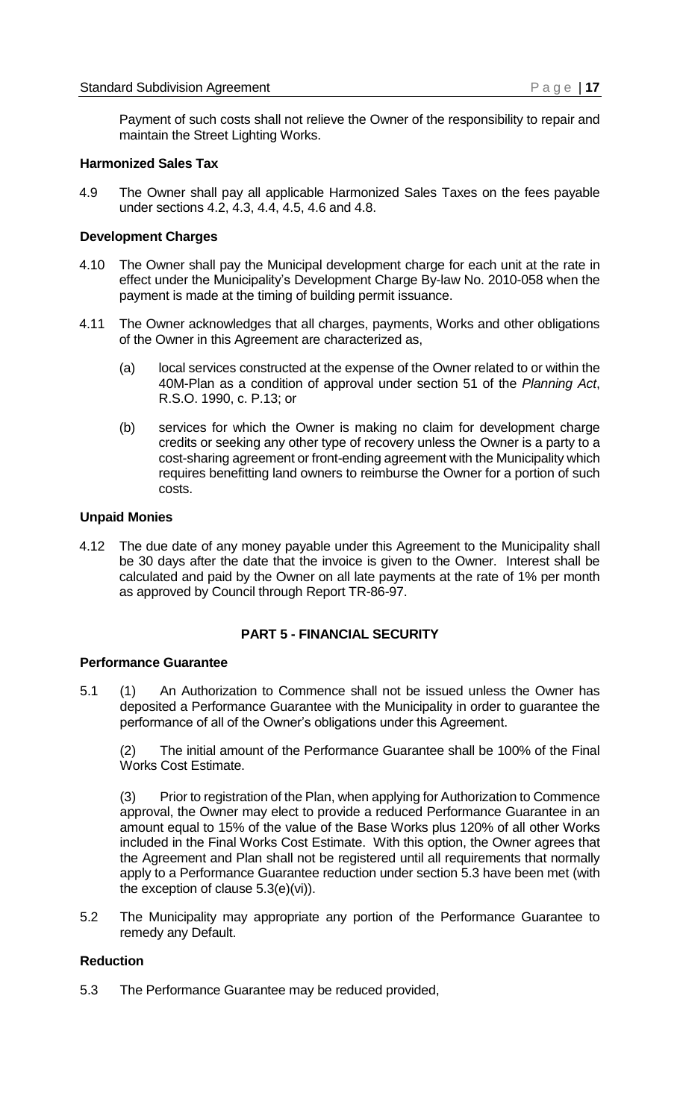Payment of such costs shall not relieve the Owner of the responsibility to repair and maintain the Street Lighting Works.

#### <span id="page-14-0"></span>**Harmonized Sales Tax**

4.9 The Owner shall pay all applicable Harmonized Sales Taxes on the fees payable under sections 4.2, 4.3, 4.4, 4.5, 4.6 and 4.8.

#### <span id="page-14-1"></span>**Development Charges**

- 4.10 The Owner shall pay the Municipal development charge for each unit at the rate in effect under the Municipality's Development Charge By-law No. 2010-058 when the payment is made at the timing of building permit issuance.
- 4.11 The Owner acknowledges that all charges, payments, Works and other obligations of the Owner in this Agreement are characterized as,
	- (a) local services constructed at the expense of the Owner related to or within the 40M-Plan as a condition of approval under section 51 of the *Planning Act*, R.S.O. 1990, c. P.13; or
	- (b) services for which the Owner is making no claim for development charge credits or seeking any other type of recovery unless the Owner is a party to a cost-sharing agreement or front-ending agreement with the Municipality which requires benefitting land owners to reimburse the Owner for a portion of such costs.

#### <span id="page-14-2"></span>**Unpaid Monies**

4.12 The due date of any money payable under this Agreement to the Municipality shall be 30 days after the date that the invoice is given to the Owner. Interest shall be calculated and paid by the Owner on all late payments at the rate of 1% per month as approved by Council through Report TR-86-97.

#### **PART 5 - FINANCIAL SECURITY**

#### <span id="page-14-4"></span><span id="page-14-3"></span>**Performance Guarantee**

5.1 (1) An Authorization to Commence shall not be issued unless the Owner has deposited a Performance Guarantee with the Municipality in order to guarantee the performance of all of the Owner's obligations under this Agreement.

(2) The initial amount of the Performance Guarantee shall be 100% of the Final Works Cost Estimate.

(3) Prior to registration of the Plan, when applying for Authorization to Commence approval, the Owner may elect to provide a reduced Performance Guarantee in an amount equal to 15% of the value of the Base Works plus 120% of all other Works included in the Final Works Cost Estimate. With this option, the Owner agrees that the Agreement and Plan shall not be registered until all requirements that normally apply to a Performance Guarantee reduction under section 5.3 have been met (with the exception of clause 5.3(e)(vi)).

5.2 The Municipality may appropriate any portion of the Performance Guarantee to remedy any Default.

#### <span id="page-14-5"></span>**Reduction**

5.3 The Performance Guarantee may be reduced provided,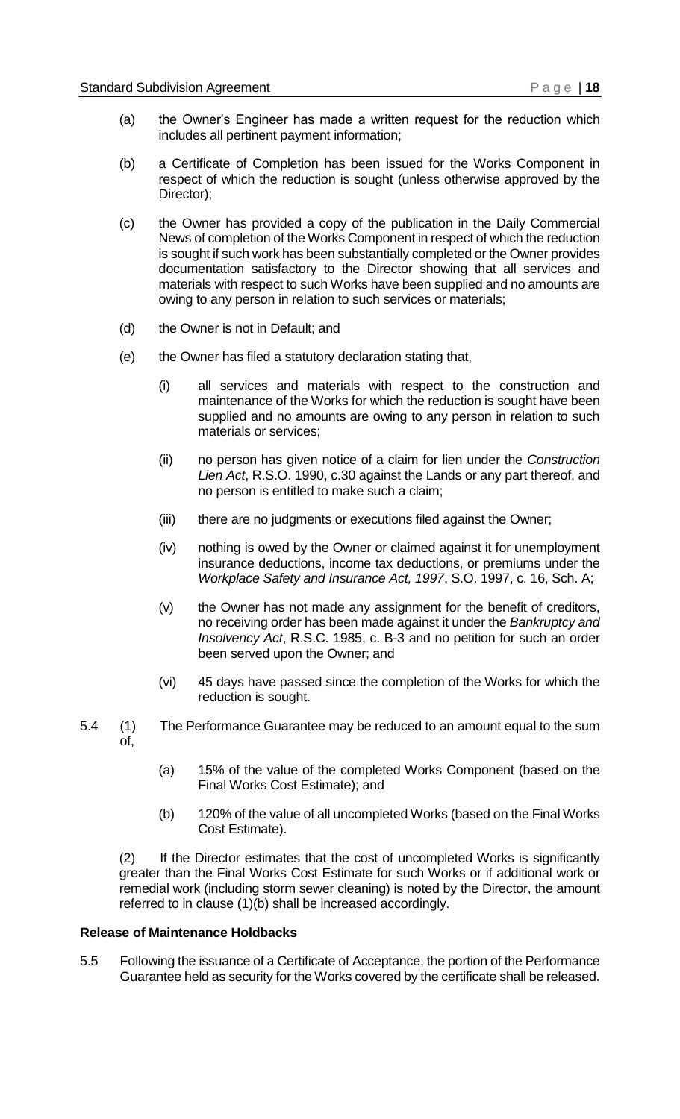- (a) the Owner's Engineer has made a written request for the reduction which includes all pertinent payment information;
- (b) a Certificate of Completion has been issued for the Works Component in respect of which the reduction is sought (unless otherwise approved by the Director);
- (c) the Owner has provided a copy of the publication in the Daily Commercial News of completion of the Works Component in respect of which the reduction is sought if such work has been substantially completed or the Owner provides documentation satisfactory to the Director showing that all services and materials with respect to such Works have been supplied and no amounts are owing to any person in relation to such services or materials;
- (d) the Owner is not in Default; and
- (e) the Owner has filed a statutory declaration stating that,
	- (i) all services and materials with respect to the construction and maintenance of the Works for which the reduction is sought have been supplied and no amounts are owing to any person in relation to such materials or services;
	- (ii) no person has given notice of a claim for lien under the *Construction Lien Act*, R.S.O. 1990, c.30 against the Lands or any part thereof, and no person is entitled to make such a claim;
	- (iii) there are no judgments or executions filed against the Owner;
	- (iv) nothing is owed by the Owner or claimed against it for unemployment insurance deductions, income tax deductions, or premiums under the *Workplace Safety and Insurance Act, 1997*, S.O. 1997, c. 16, Sch. A;
	- (v) the Owner has not made any assignment for the benefit of creditors, no receiving order has been made against it under the *Bankruptcy and Insolvency Act*, R.S.C. 1985, c. B-3 and no petition for such an order been served upon the Owner; and
	- (vi) 45 days have passed since the completion of the Works for which the reduction is sought.
- 5.4 (1) The Performance Guarantee may be reduced to an amount equal to the sum of,
	- (a) 15% of the value of the completed Works Component (based on the Final Works Cost Estimate); and
	- (b) 120% of the value of all uncompleted Works (based on the Final Works Cost Estimate).

(2) If the Director estimates that the cost of uncompleted Works is significantly greater than the Final Works Cost Estimate for such Works or if additional work or remedial work (including storm sewer cleaning) is noted by the Director, the amount referred to in clause (1)(b) shall be increased accordingly.

#### <span id="page-15-0"></span>**Release of Maintenance Holdbacks**

5.5 Following the issuance of a Certificate of Acceptance, the portion of the Performance Guarantee held as security for the Works covered by the certificate shall be released.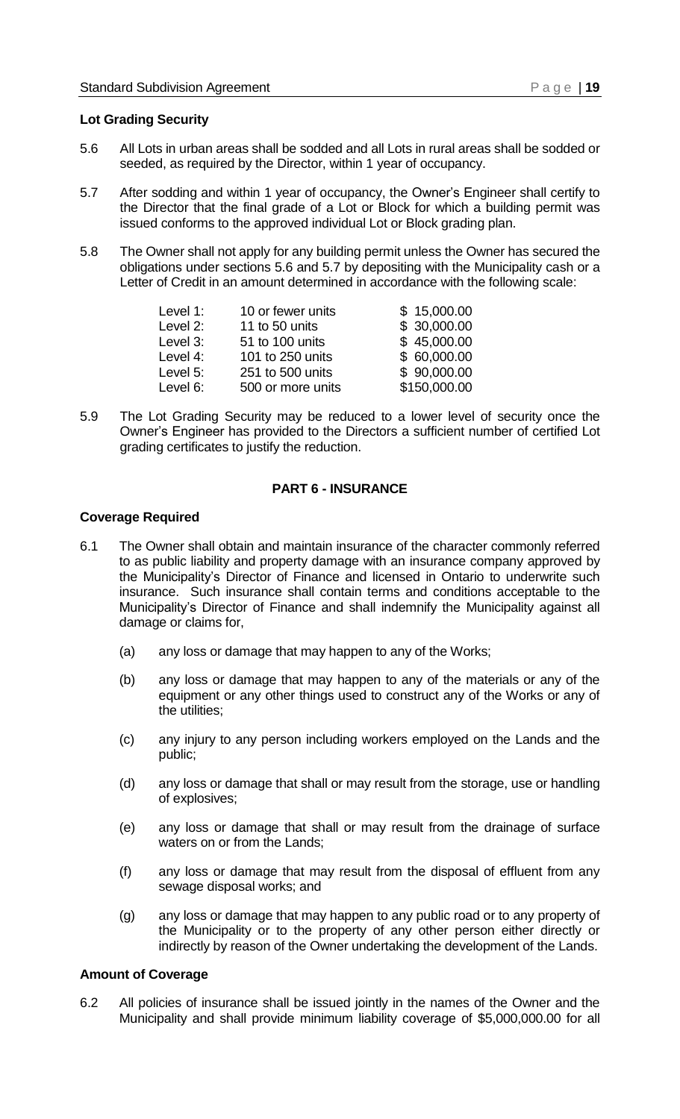#### <span id="page-16-0"></span>**Lot Grading Security**

- 5.6 All Lots in urban areas shall be sodded and all Lots in rural areas shall be sodded or seeded, as required by the Director, within 1 year of occupancy.
- 5.7 After sodding and within 1 year of occupancy, the Owner's Engineer shall certify to the Director that the final grade of a Lot or Block for which a building permit was issued conforms to the approved individual Lot or Block grading plan.
- 5.8 The Owner shall not apply for any building permit unless the Owner has secured the obligations under sections 5.6 and 5.7 by depositing with the Municipality cash or a Letter of Credit in an amount determined in accordance with the following scale:

| Level 1: | 10 or fewer units | \$15,000.00  |
|----------|-------------------|--------------|
| Level 2: | 11 to 50 units    | \$30,000.00  |
| Level 3: | 51 to 100 units   | \$45,000.00  |
| Level 4: | 101 to 250 units  | \$60,000.00  |
| Level 5: | 251 to 500 units  | \$90,000.00  |
| Level 6: | 500 or more units | \$150,000.00 |

5.9 The Lot Grading Security may be reduced to a lower level of security once the Owner's Engineer has provided to the Directors a sufficient number of certified Lot grading certificates to justify the reduction.

#### **PART 6 - INSURANCE**

#### <span id="page-16-2"></span><span id="page-16-1"></span>**Coverage Required**

- 6.1 The Owner shall obtain and maintain insurance of the character commonly referred to as public liability and property damage with an insurance company approved by the Municipality's Director of Finance and licensed in Ontario to underwrite such insurance. Such insurance shall contain terms and conditions acceptable to the Municipality's Director of Finance and shall indemnify the Municipality against all damage or claims for,
	- (a) any loss or damage that may happen to any of the Works;
	- (b) any loss or damage that may happen to any of the materials or any of the equipment or any other things used to construct any of the Works or any of the utilities;
	- (c) any injury to any person including workers employed on the Lands and the public;
	- (d) any loss or damage that shall or may result from the storage, use or handling of explosives;
	- (e) any loss or damage that shall or may result from the drainage of surface waters on or from the Lands;
	- (f) any loss or damage that may result from the disposal of effluent from any sewage disposal works; and
	- (g) any loss or damage that may happen to any public road or to any property of the Municipality or to the property of any other person either directly or indirectly by reason of the Owner undertaking the development of the Lands.

#### <span id="page-16-3"></span>**Amount of Coverage**

6.2 All policies of insurance shall be issued jointly in the names of the Owner and the Municipality and shall provide minimum liability coverage of \$5,000,000.00 for all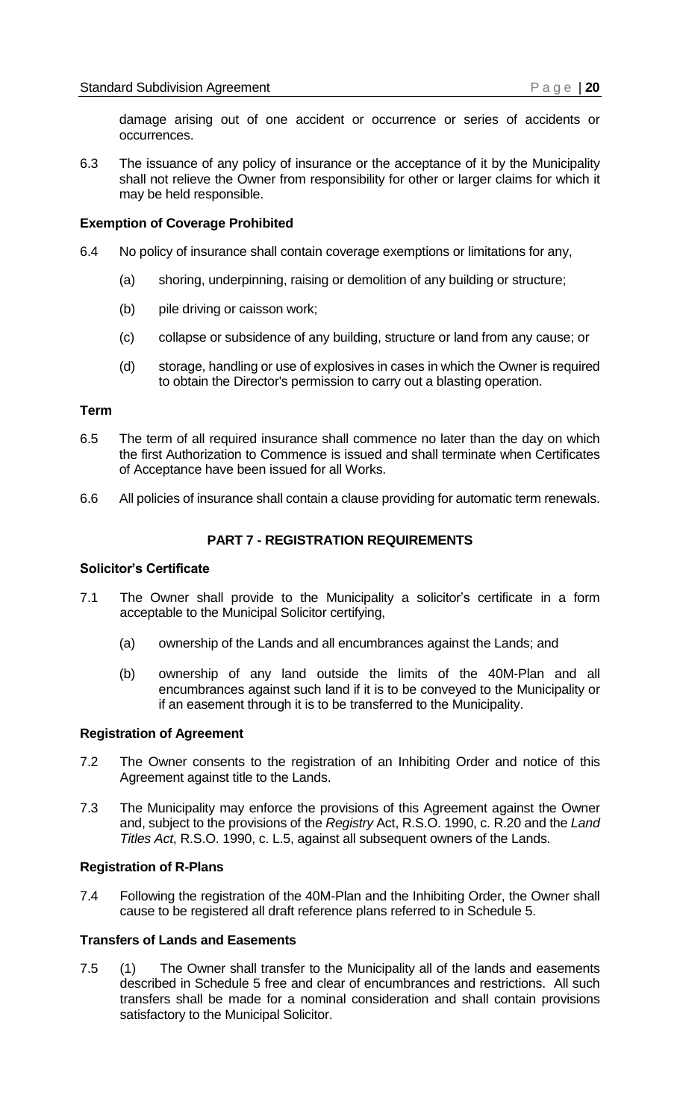damage arising out of one accident or occurrence or series of accidents or occurrences.

6.3 The issuance of any policy of insurance or the acceptance of it by the Municipality shall not relieve the Owner from responsibility for other or larger claims for which it may be held responsible.

#### <span id="page-17-0"></span>**Exemption of Coverage Prohibited**

- 6.4 No policy of insurance shall contain coverage exemptions or limitations for any,
	- (a) shoring, underpinning, raising or demolition of any building or structure;
	- (b) pile driving or caisson work;
	- (c) collapse or subsidence of any building, structure or land from any cause; or
	- (d) storage, handling or use of explosives in cases in which the Owner is required to obtain the Director's permission to carry out a blasting operation.

#### <span id="page-17-1"></span>**Term**

- 6.5 The term of all required insurance shall commence no later than the day on which the first Authorization to Commence is issued and shall terminate when Certificates of Acceptance have been issued for all Works.
- <span id="page-17-2"></span>6.6 All policies of insurance shall contain a clause providing for automatic term renewals.

#### **PART 7 - REGISTRATION REQUIREMENTS**

#### <span id="page-17-3"></span>**Solicitor's Certificate**

- 7.1 The Owner shall provide to the Municipality a solicitor's certificate in a form acceptable to the Municipal Solicitor certifying,
	- (a) ownership of the Lands and all encumbrances against the Lands; and
	- (b) ownership of any land outside the limits of the 40M-Plan and all encumbrances against such land if it is to be conveyed to the Municipality or if an easement through it is to be transferred to the Municipality.

#### <span id="page-17-4"></span>**Registration of Agreement**

- 7.2 The Owner consents to the registration of an Inhibiting Order and notice of this Agreement against title to the Lands.
- 7.3 The Municipality may enforce the provisions of this Agreement against the Owner and, subject to the provisions of the *Registry* Act, R.S.O. 1990, c. R.20 and the *Land Titles Act*, R.S.O. 1990, c. L.5, against all subsequent owners of the Lands.

#### <span id="page-17-5"></span>**Registration of R-Plans**

7.4 Following the registration of the 40M-Plan and the Inhibiting Order, the Owner shall cause to be registered all draft reference plans referred to in Schedule 5.

#### <span id="page-17-6"></span>**Transfers of Lands and Easements**

7.5 (1) The Owner shall transfer to the Municipality all of the lands and easements described in Schedule 5 free and clear of encumbrances and restrictions. All such transfers shall be made for a nominal consideration and shall contain provisions satisfactory to the Municipal Solicitor.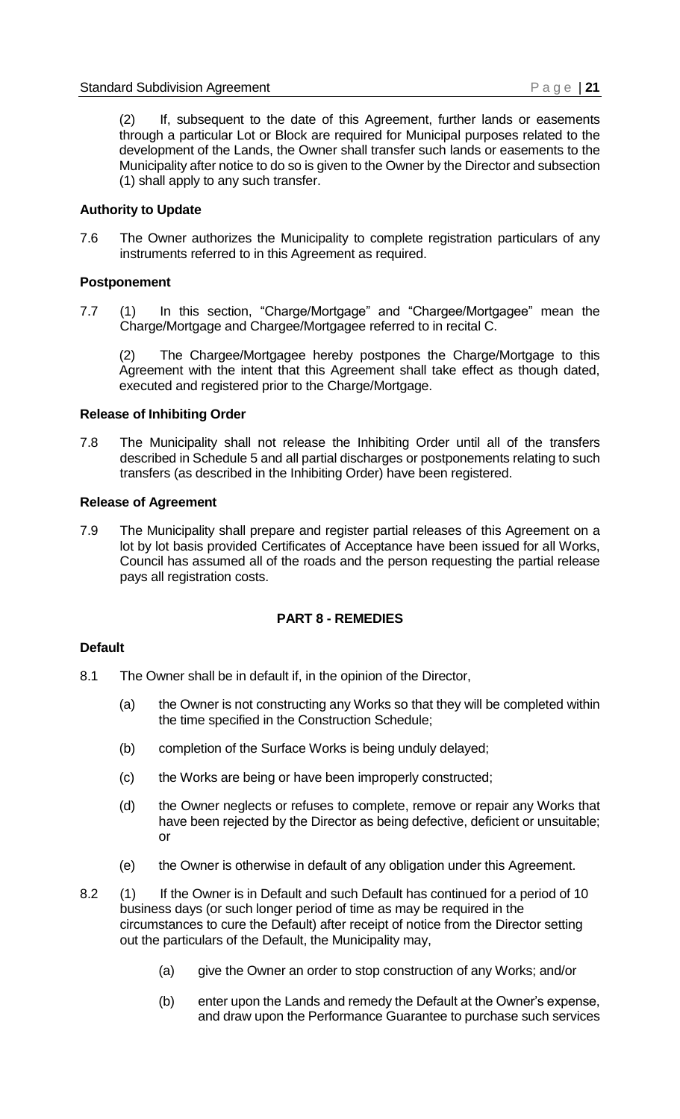(2) If, subsequent to the date of this Agreement, further lands or easements through a particular Lot or Block are required for Municipal purposes related to the development of the Lands, the Owner shall transfer such lands or easements to the Municipality after notice to do so is given to the Owner by the Director and subsection (1) shall apply to any such transfer.

#### <span id="page-18-0"></span>**Authority to Update**

7.6 The Owner authorizes the Municipality to complete registration particulars of any instruments referred to in this Agreement as required.

#### <span id="page-18-1"></span>**Postponement**

7.7 (1) In this section, "Charge/Mortgage" and "Chargee/Mortgagee" mean the Charge/Mortgage and Chargee/Mortgagee referred to in recital C.

(2) The Chargee/Mortgagee hereby postpones the Charge/Mortgage to this Agreement with the intent that this Agreement shall take effect as though dated, executed and registered prior to the Charge/Mortgage.

#### <span id="page-18-2"></span>**Release of Inhibiting Order**

7.8 The Municipality shall not release the Inhibiting Order until all of the transfers described in Schedule 5 and all partial discharges or postponements relating to such transfers (as described in the Inhibiting Order) have been registered.

#### <span id="page-18-3"></span>**Release of Agreement**

7.9 The Municipality shall prepare and register partial releases of this Agreement on a lot by lot basis provided Certificates of Acceptance have been issued for all Works, Council has assumed all of the roads and the person requesting the partial release pays all registration costs.

#### **PART 8 - REMEDIES**

#### <span id="page-18-5"></span><span id="page-18-4"></span>**Default**

- 8.1 The Owner shall be in default if, in the opinion of the Director,
	- (a) the Owner is not constructing any Works so that they will be completed within the time specified in the Construction Schedule;
	- (b) completion of the Surface Works is being unduly delayed;
	- (c) the Works are being or have been improperly constructed;
	- (d) the Owner neglects or refuses to complete, remove or repair any Works that have been rejected by the Director as being defective, deficient or unsuitable; or
	- (e) the Owner is otherwise in default of any obligation under this Agreement.
- 8.2 (1) If the Owner is in Default and such Default has continued for a period of 10 business days (or such longer period of time as may be required in the circumstances to cure the Default) after receipt of notice from the Director setting out the particulars of the Default, the Municipality may,
	- (a) give the Owner an order to stop construction of any Works; and/or
	- (b) enter upon the Lands and remedy the Default at the Owner's expense, and draw upon the Performance Guarantee to purchase such services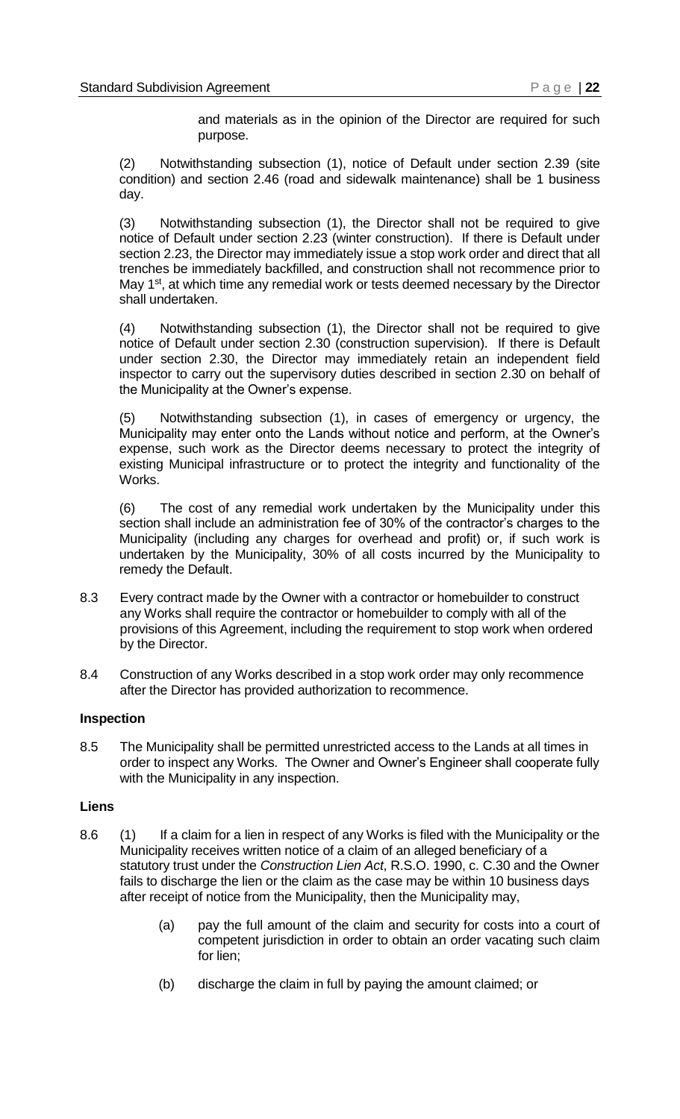and materials as in the opinion of the Director are required for such purpose.

(2) Notwithstanding subsection (1), notice of Default under section 2.39 (site condition) and section 2.46 (road and sidewalk maintenance) shall be 1 business day.

(3) Notwithstanding subsection (1), the Director shall not be required to give notice of Default under section 2.23 (winter construction). If there is Default under section 2.23, the Director may immediately issue a stop work order and direct that all trenches be immediately backfilled, and construction shall not recommence prior to May 1<sup>st</sup>, at which time any remedial work or tests deemed necessary by the Director shall undertaken.

(4) Notwithstanding subsection (1), the Director shall not be required to give notice of Default under section 2.30 (construction supervision). If there is Default under section 2.30, the Director may immediately retain an independent field inspector to carry out the supervisory duties described in section 2.30 on behalf of the Municipality at the Owner's expense.

(5) Notwithstanding subsection (1), in cases of emergency or urgency, the Municipality may enter onto the Lands without notice and perform, at the Owner's expense, such work as the Director deems necessary to protect the integrity of existing Municipal infrastructure or to protect the integrity and functionality of the Works.

(6) The cost of any remedial work undertaken by the Municipality under this section shall include an administration fee of 30% of the contractor's charges to the Municipality (including any charges for overhead and profit) or, if such work is undertaken by the Municipality, 30% of all costs incurred by the Municipality to remedy the Default.

- 8.3 Every contract made by the Owner with a contractor or homebuilder to construct any Works shall require the contractor or homebuilder to comply with all of the provisions of this Agreement, including the requirement to stop work when ordered by the Director.
- 8.4 Construction of any Works described in a stop work order may only recommence after the Director has provided authorization to recommence.

#### <span id="page-19-0"></span>**Inspection**

8.5 The Municipality shall be permitted unrestricted access to the Lands at all times in order to inspect any Works. The Owner and Owner's Engineer shall cooperate fully with the Municipality in any inspection.

#### <span id="page-19-1"></span>**Liens**

- 8.6 (1) If a claim for a lien in respect of any Works is filed with the Municipality or the Municipality receives written notice of a claim of an alleged beneficiary of a statutory trust under the *Construction Lien Act*, R.S.O. 1990, c. C.30 and the Owner fails to discharge the lien or the claim as the case may be within 10 business days after receipt of notice from the Municipality, then the Municipality may,
	- (a) pay the full amount of the claim and security for costs into a court of competent jurisdiction in order to obtain an order vacating such claim for lien;
	- (b) discharge the claim in full by paying the amount claimed; or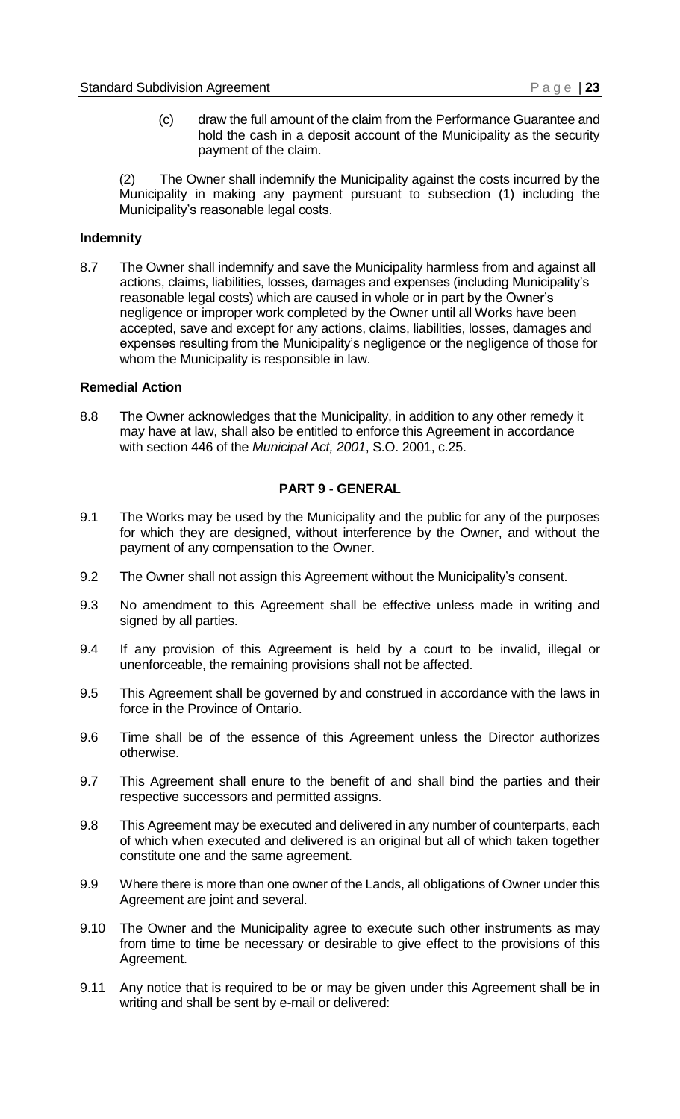(c) draw the full amount of the claim from the Performance Guarantee and hold the cash in a deposit account of the Municipality as the security payment of the claim.

(2) The Owner shall indemnify the Municipality against the costs incurred by the Municipality in making any payment pursuant to subsection (1) including the Municipality's reasonable legal costs.

#### <span id="page-20-0"></span>**Indemnity**

8.7 The Owner shall indemnify and save the Municipality harmless from and against all actions, claims, liabilities, losses, damages and expenses (including Municipality's reasonable legal costs) which are caused in whole or in part by the Owner's negligence or improper work completed by the Owner until all Works have been accepted, save and except for any actions, claims, liabilities, losses, damages and expenses resulting from the Municipality's negligence or the negligence of those for whom the Municipality is responsible in law.

#### <span id="page-20-1"></span>**Remedial Action**

<span id="page-20-2"></span>8.8 The Owner acknowledges that the Municipality, in addition to any other remedy it may have at law, shall also be entitled to enforce this Agreement in accordance with section 446 of the *Municipal Act, 2001*, S.O. 2001, c.25.

#### **PART 9 - GENERAL**

- 9.1 The Works may be used by the Municipality and the public for any of the purposes for which they are designed, without interference by the Owner, and without the payment of any compensation to the Owner.
- 9.2 The Owner shall not assign this Agreement without the Municipality's consent.
- 9.3 No amendment to this Agreement shall be effective unless made in writing and signed by all parties.
- 9.4 If any provision of this Agreement is held by a court to be invalid, illegal or unenforceable, the remaining provisions shall not be affected.
- 9.5 This Agreement shall be governed by and construed in accordance with the laws in force in the Province of Ontario.
- 9.6 Time shall be of the essence of this Agreement unless the Director authorizes otherwise.
- 9.7 This Agreement shall enure to the benefit of and shall bind the parties and their respective successors and permitted assigns.
- 9.8 This Agreement may be executed and delivered in any number of counterparts, each of which when executed and delivered is an original but all of which taken together constitute one and the same agreement.
- 9.9 Where there is more than one owner of the Lands, all obligations of Owner under this Agreement are joint and several.
- 9.10 The Owner and the Municipality agree to execute such other instruments as may from time to time be necessary or desirable to give effect to the provisions of this Agreement.
- 9.11 Any notice that is required to be or may be given under this Agreement shall be in writing and shall be sent by e-mail or delivered: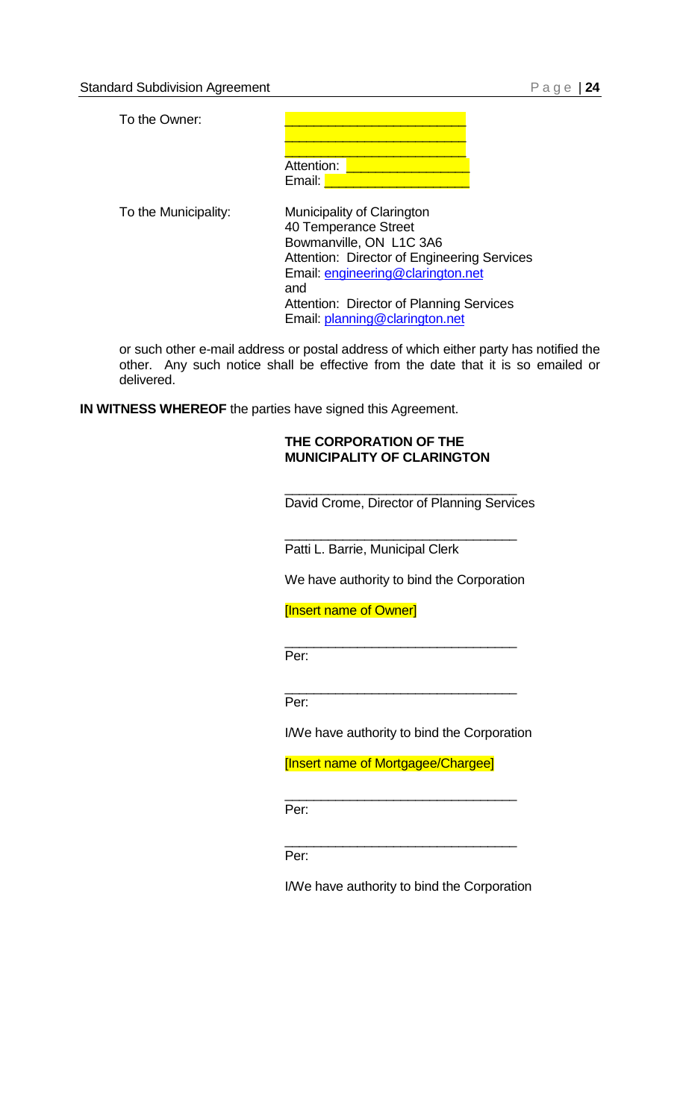To the Owner:

\_\_\_\_\_\_\_\_\_\_\_\_\_\_\_\_\_\_\_\_\_\_\_\_\_ \_\_\_\_\_\_\_\_\_\_\_\_\_\_\_\_\_\_\_\_\_\_\_\_\_ Attention: <mark>Les</mark> Email: **L** 

To the Municipality: Municipality of Clarington 40 Temperance Street Bowmanville, ON L1C 3A6 Attention: Director of Engineering Services Email: [engineering@clarington.net](mailto:engineering@clarington.net) and Attention: Director of Planning Services Email: [planning@clarington.net](mailto:planning@clarington.net)

or such other e-mail address or postal address of which either party has notified the other. Any such notice shall be effective from the date that it is so emailed or delivered.

**IN WITNESS WHEREOF** the parties have signed this Agreement.

#### **THE CORPORATION OF THE MUNICIPALITY OF CLARINGTON**

David Crome, Director of Planning Services

\_\_\_\_\_\_\_\_\_\_\_\_\_\_\_\_\_\_\_\_\_\_\_\_\_\_\_\_\_\_\_\_

\_\_\_\_\_\_\_\_\_\_\_\_\_\_\_\_\_\_\_\_\_\_\_\_\_\_\_\_\_\_\_\_

Patti L. Barrie, Municipal Clerk

We have authority to bind the Corporation

\_\_\_\_\_\_\_\_\_\_\_\_\_\_\_\_\_\_\_\_\_\_\_\_\_\_\_\_\_\_\_\_

\_\_\_\_\_\_\_\_\_\_\_\_\_\_\_\_\_\_\_\_\_\_\_\_\_\_\_\_\_\_\_\_

[Insert name of Owner]

Per:

Per:

I/We have authority to bind the Corporation

[Insert name of Mortgagee/Chargee]

\_\_\_\_\_\_\_\_\_\_\_\_\_\_\_\_\_\_\_\_\_\_\_\_\_\_\_\_\_\_\_\_

\_\_\_\_\_\_\_\_\_\_\_\_\_\_\_\_\_\_\_\_\_\_\_\_\_\_\_\_\_\_\_\_

Per:

Per:

I/We have authority to bind the Corporation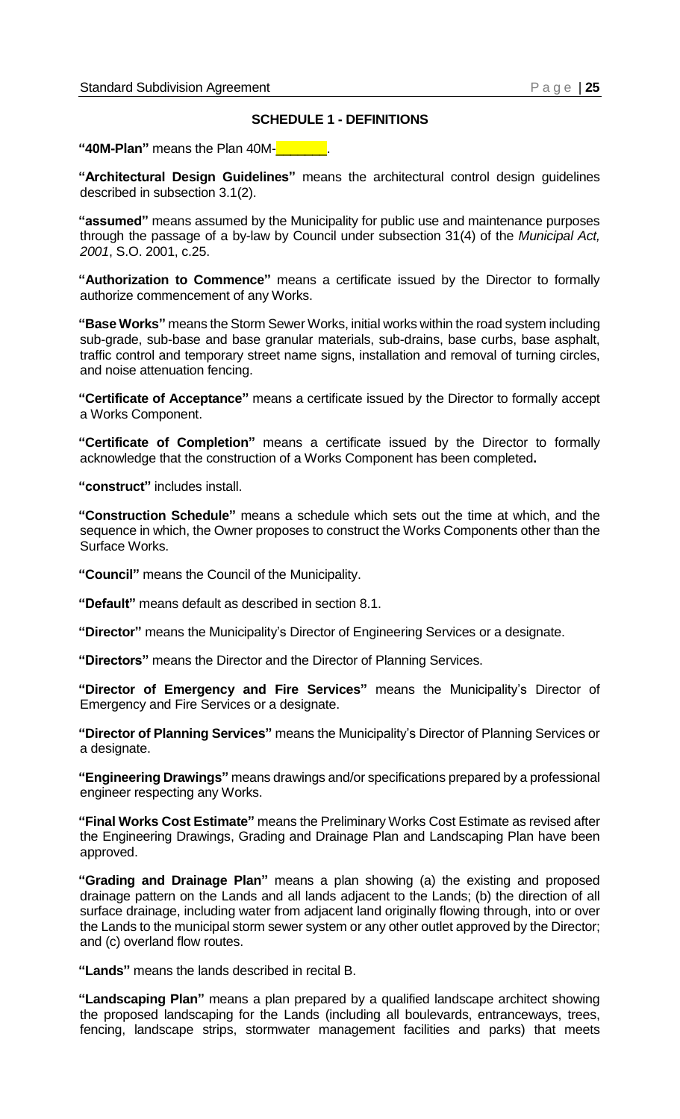#### **SCHEDULE 1 - DEFINITIONS**

<span id="page-22-0"></span>**"40M-Plan"** means the Plan 40M-\_\_\_\_\_\_\_.

**"Architectural Design Guidelines"** means the architectural control design guidelines described in subsection 3.1(2).

**"assumed"** means assumed by the Municipality for public use and maintenance purposes through the passage of a by-law by Council under subsection 31(4) of the *Municipal Act, 2001*, S.O. 2001, c.25.

**"Authorization to Commence"** means a certificate issued by the Director to formally authorize commencement of any Works.

**"Base Works"** means the Storm Sewer Works, initial works within the road system including sub-grade, sub-base and base granular materials, sub-drains, base curbs, base asphalt, traffic control and temporary street name signs, installation and removal of turning circles, and noise attenuation fencing.

**"Certificate of Acceptance"** means a certificate issued by the Director to formally accept a Works Component.

**"Certificate of Completion"** means a certificate issued by the Director to formally acknowledge that the construction of a Works Component has been completed**.**

**"construct"** includes install.

**"Construction Schedule"** means a schedule which sets out the time at which, and the sequence in which, the Owner proposes to construct the Works Components other than the Surface Works.

**"Council"** means the Council of the Municipality.

**"Default"** means default as described in section 8.1.

**"Director"** means the Municipality's Director of Engineering Services or a designate.

**"Directors"** means the Director and the Director of Planning Services.

**"Director of Emergency and Fire Services"** means the Municipality's Director of Emergency and Fire Services or a designate.

**"Director of Planning Services"** means the Municipality's Director of Planning Services or a designate.

**"Engineering Drawings"** means drawings and/or specifications prepared by a professional engineer respecting any Works.

**"Final Works Cost Estimate"** means the Preliminary Works Cost Estimate as revised after the Engineering Drawings, Grading and Drainage Plan and Landscaping Plan have been approved.

**"Grading and Drainage Plan"** means a plan showing (a) the existing and proposed drainage pattern on the Lands and all lands adjacent to the Lands; (b) the direction of all surface drainage, including water from adjacent land originally flowing through, into or over the Lands to the municipal storm sewer system or any other outlet approved by the Director; and (c) overland flow routes.

**"Lands"** means the lands described in recital B.

**"Landscaping Plan"** means a plan prepared by a qualified landscape architect showing the proposed landscaping for the Lands (including all boulevards, entranceways, trees, fencing, landscape strips, stormwater management facilities and parks) that meets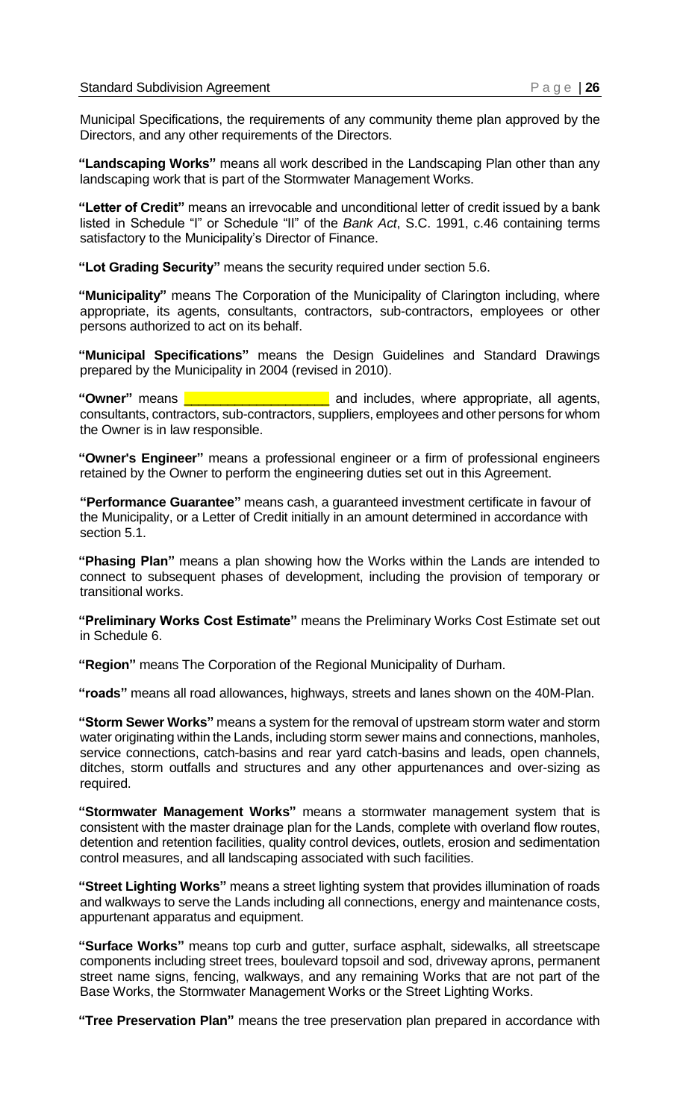Municipal Specifications, the requirements of any community theme plan approved by the Directors, and any other requirements of the Directors.

**"Landscaping Works"** means all work described in the Landscaping Plan other than any landscaping work that is part of the Stormwater Management Works.

**"Letter of Credit"** means an irrevocable and unconditional letter of credit issued by a bank listed in Schedule "I" or Schedule "II" of the *Bank Act*, S.C. 1991, c.46 containing terms satisfactory to the Municipality's Director of Finance.

**"Lot Grading Security"** means the security required under section 5.6.

**"Municipality"** means The Corporation of the Municipality of Clarington including, where appropriate, its agents, consultants, contractors, sub-contractors, employees or other persons authorized to act on its behalf.

**"Municipal Specifications"** means the Design Guidelines and Standard Drawings prepared by the Municipality in 2004 (revised in 2010).

**"Owner"** means \_\_\_\_\_\_\_\_\_\_\_\_\_\_\_\_\_\_\_\_ and includes, where appropriate, all agents, consultants, contractors, sub-contractors, suppliers, employees and other persons for whom the Owner is in law responsible.

**"Owner's Engineer"** means a professional engineer or a firm of professional engineers retained by the Owner to perform the engineering duties set out in this Agreement.

**"Performance Guarantee"** means cash, a guaranteed investment certificate in favour of the Municipality, or a Letter of Credit initially in an amount determined in accordance with section 5.1.

**"Phasing Plan"** means a plan showing how the Works within the Lands are intended to connect to subsequent phases of development, including the provision of temporary or transitional works.

**"Preliminary Works Cost Estimate"** means the Preliminary Works Cost Estimate set out in Schedule 6.

**"Region"** means The Corporation of the Regional Municipality of Durham.

**"roads"** means all road allowances, highways, streets and lanes shown on the 40M-Plan.

**"Storm Sewer Works"** means a system for the removal of upstream storm water and storm water originating within the Lands, including storm sewer mains and connections, manholes, service connections, catch-basins and rear yard catch-basins and leads, open channels, ditches, storm outfalls and structures and any other appurtenances and over-sizing as required.

**"Stormwater Management Works"** means a stormwater management system that is consistent with the master drainage plan for the Lands, complete with overland flow routes, detention and retention facilities, quality control devices, outlets, erosion and sedimentation control measures, and all landscaping associated with such facilities.

**"Street Lighting Works"** means a street lighting system that provides illumination of roads and walkways to serve the Lands including all connections, energy and maintenance costs, appurtenant apparatus and equipment.

**"Surface Works"** means top curb and gutter, surface asphalt, sidewalks, all streetscape components including street trees, boulevard topsoil and sod, driveway aprons, permanent street name signs, fencing, walkways, and any remaining Works that are not part of the Base Works, the Stormwater Management Works or the Street Lighting Works.

**"Tree Preservation Plan"** means the tree preservation plan prepared in accordance with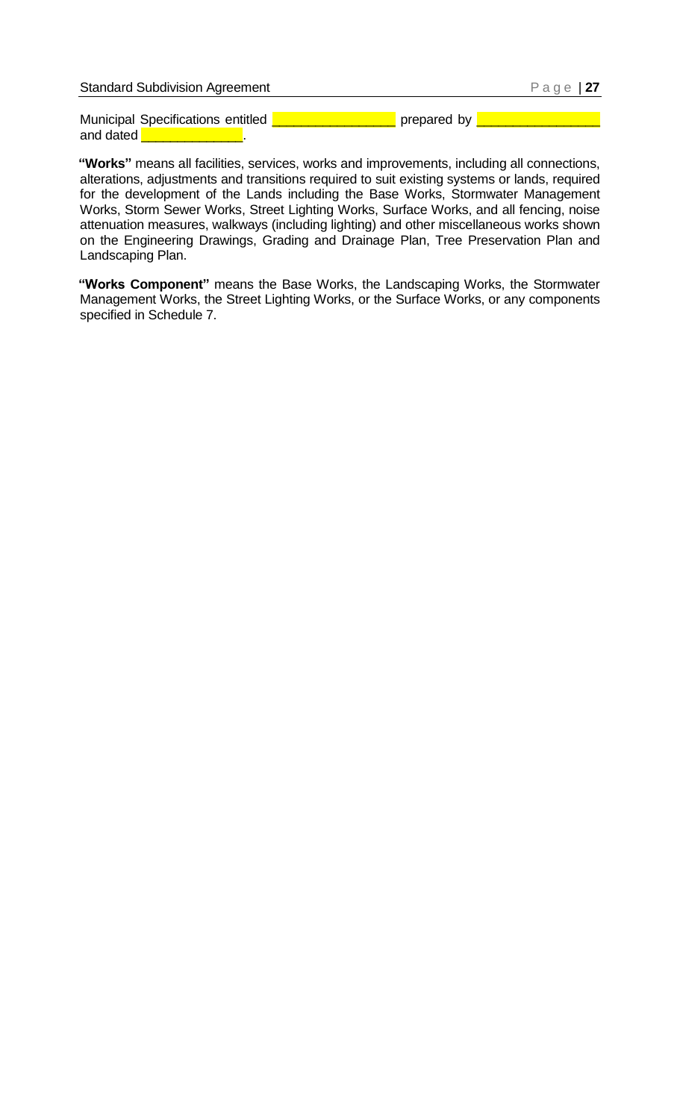| <b>Standard Subdivision Agreement</b> | Page   $27$ |
|---------------------------------------|-------------|
| Municipal Specifications entitled     | prepared by |
| and dated                             |             |

**"Works"** means all facilities, services, works and improvements, including all connections, alterations, adjustments and transitions required to suit existing systems or lands, required for the development of the Lands including the Base Works, Stormwater Management Works, Storm Sewer Works, Street Lighting Works, Surface Works, and all fencing, noise attenuation measures, walkways (including lighting) and other miscellaneous works shown on the Engineering Drawings, Grading and Drainage Plan, Tree Preservation Plan and Landscaping Plan.

**"Works Component"** means the Base Works, the Landscaping Works, the Stormwater Management Works, the Street Lighting Works, or the Surface Works, or any components specified in Schedule 7.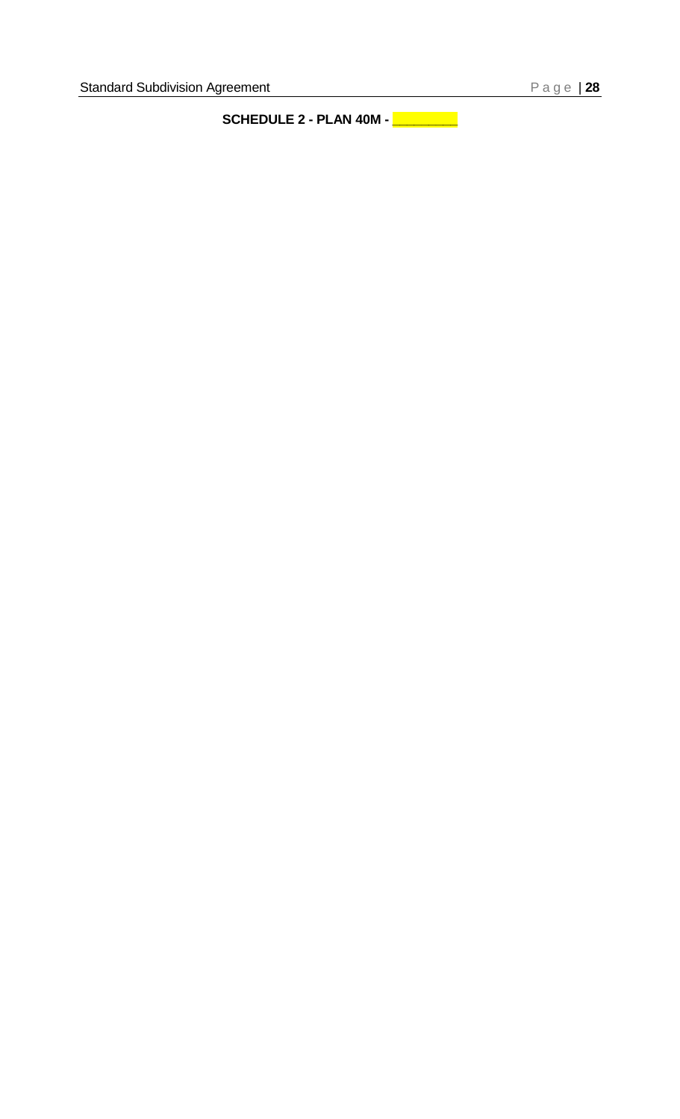<span id="page-25-0"></span>**SCHEDULE 2 - PLAN 40M - \_\_\_\_\_\_\_\_\_**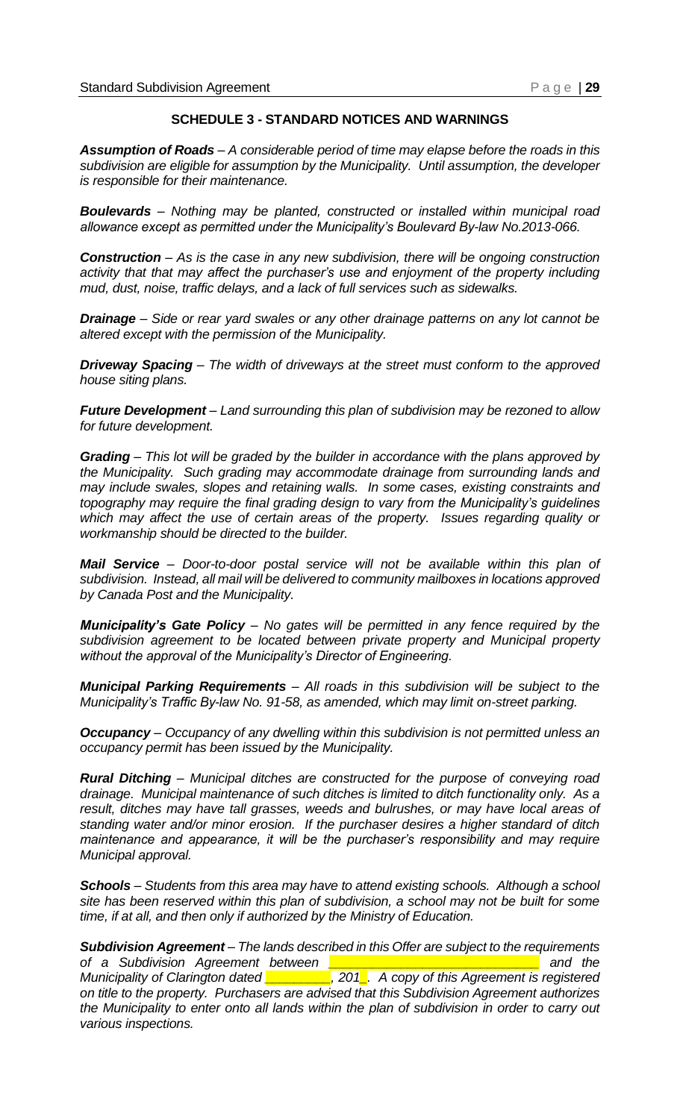#### **SCHEDULE 3 - STANDARD NOTICES AND WARNINGS**

<span id="page-26-0"></span>*Assumption of Roads – A considerable period of time may elapse before the roads in this subdivision are eligible for assumption by the Municipality. Until assumption, the developer is responsible for their maintenance.* 

*Boulevards – Nothing may be planted, constructed or installed within municipal road allowance except as permitted under the Municipality's Boulevard By-law No.2013-066.*

*Construction – As is the case in any new subdivision, there will be ongoing construction activity that that may affect the purchaser's use and enjoyment of the property including mud, dust, noise, traffic delays, and a lack of full services such as sidewalks.*

*Drainage – Side or rear yard swales or any other drainage patterns on any lot cannot be altered except with the permission of the Municipality.*

*Driveway Spacing – The width of driveways at the street must conform to the approved house siting plans.*

*Future Development – Land surrounding this plan of subdivision may be rezoned to allow for future development.*

*Grading – This lot will be graded by the builder in accordance with the plans approved by the Municipality. Such grading may accommodate drainage from surrounding lands and may include swales, slopes and retaining walls. In some cases, existing constraints and topography may require the final grading design to vary from the Municipality's guidelines which may affect the use of certain areas of the property. Issues regarding quality or workmanship should be directed to the builder.*

*Mail Service – Door-to-door postal service will not be available within this plan of subdivision. Instead, all mail will be delivered to community mailboxes in locations approved by Canada Post and the Municipality.*

*Municipality's Gate Policy – No gates will be permitted in any fence required by the subdivision agreement to be located between private property and Municipal property without the approval of the Municipality's Director of Engineering.*

*Municipal Parking Requirements – All roads in this subdivision will be subject to the Municipality's Traffic By-law No. 91-58, as amended, which may limit on-street parking.*

*Occupancy – Occupancy of any dwelling within this subdivision is not permitted unless an occupancy permit has been issued by the Municipality.* 

*Rural Ditching – Municipal ditches are constructed for the purpose of conveying road drainage. Municipal maintenance of such ditches is limited to ditch functionality only. As a result, ditches may have tall grasses, weeds and bulrushes, or may have local areas of standing water and/or minor erosion. If the purchaser desires a higher standard of ditch maintenance and appearance, it will be the purchaser's responsibility and may require Municipal approval.*

*Schools – Students from this area may have to attend existing schools. Although a school site has been reserved within this plan of subdivision, a school may not be built for some time, if at all, and then only if authorized by the Ministry of Education.*

*Subdivision Agreement – The lands described in this Offer are subject to the requirements of a Subdivision Agreement between \_\_\_\_\_\_\_\_\_\_\_\_\_\_\_\_\_\_\_\_\_\_\_\_\_\_\_\_\_ and the Municipality of Clarington dated \_\_\_\_\_\_\_\_\_, 201\_. A copy of this Agreement is registered on title to the property. Purchasers are advised that this Subdivision Agreement authorizes the Municipality to enter onto all lands within the plan of subdivision in order to carry out various inspections.*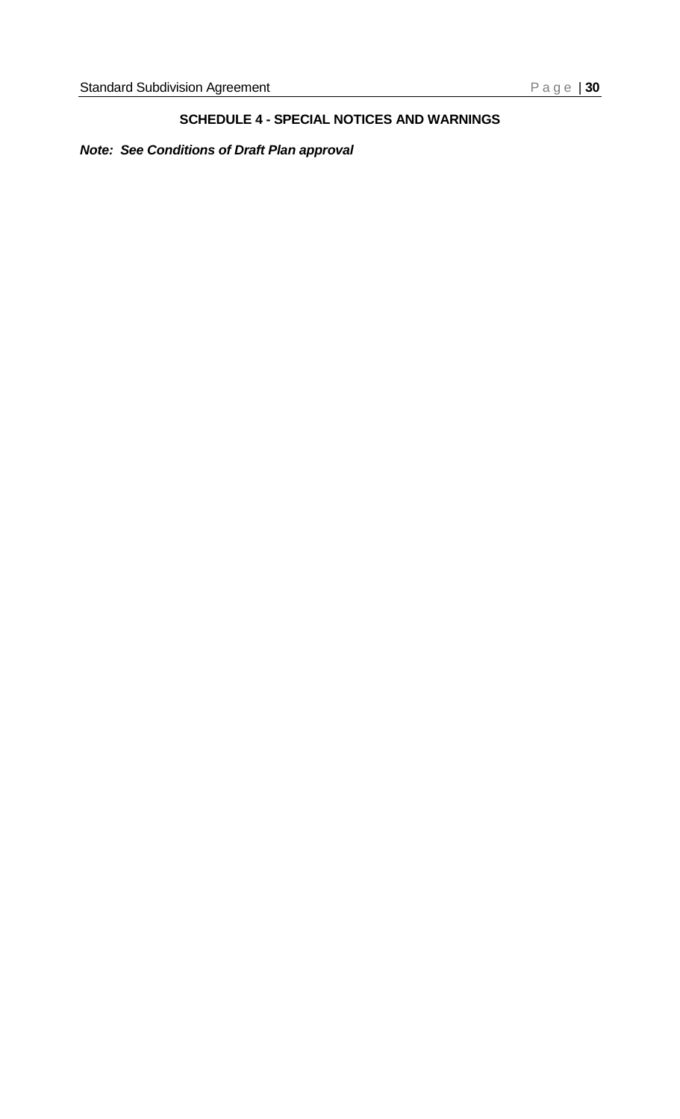# **SCHEDULE 4 - SPECIAL NOTICES AND WARNINGS**

<span id="page-27-0"></span>*Note: See Conditions of Draft Plan approval*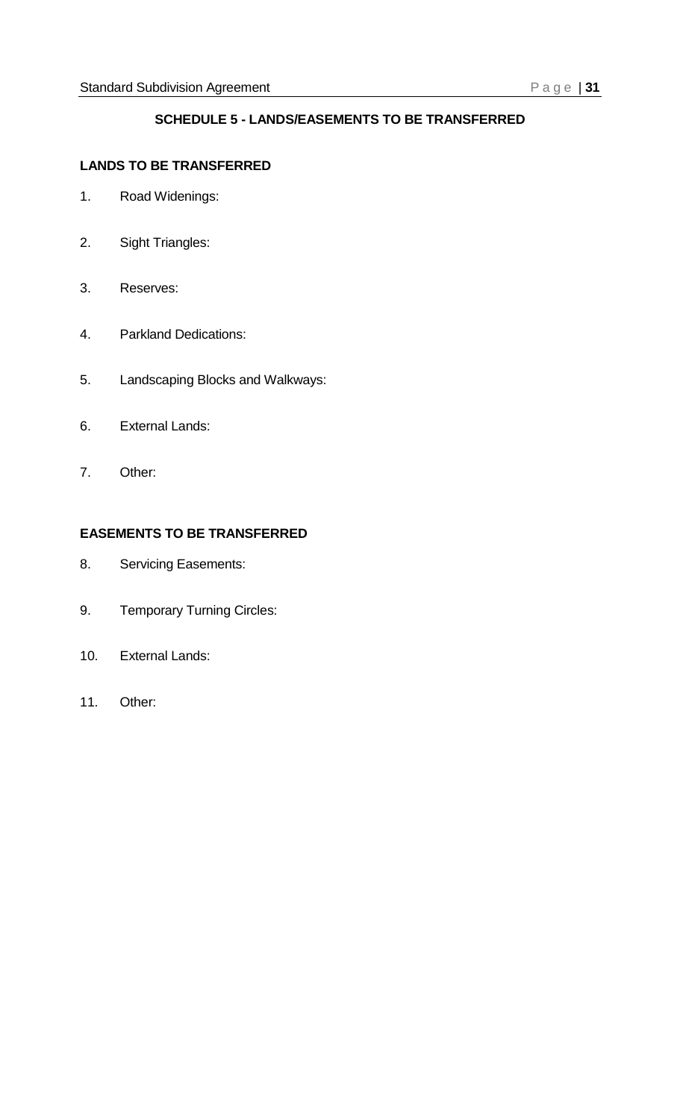# **SCHEDULE 5 - LANDS/EASEMENTS TO BE TRANSFERRED**

#### <span id="page-28-0"></span>**LANDS TO BE TRANSFERRED**

- 1. Road Widenings:
- 2. Sight Triangles:
- 3. Reserves:
- 4. Parkland Dedications:
- 5. Landscaping Blocks and Walkways:
- 6. External Lands:
- 7. Other:

# **EASEMENTS TO BE TRANSFERRED**

- 8. Servicing Easements:
- 9. Temporary Turning Circles:
- 10. External Lands:
- 11. Other: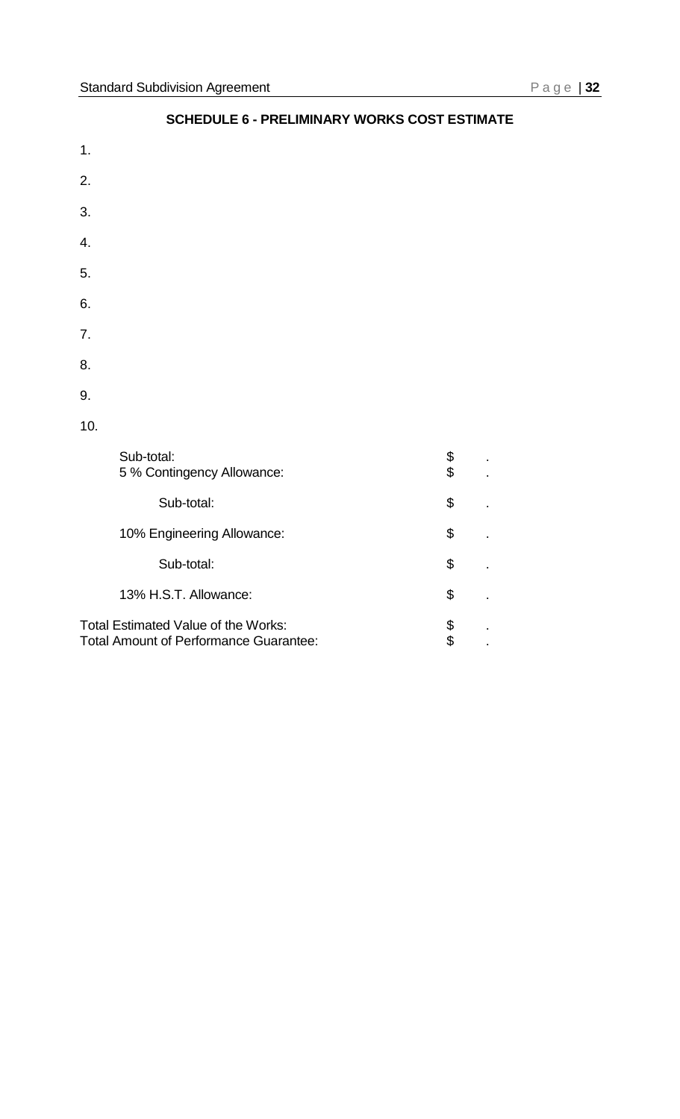<span id="page-29-0"></span>1.

# 2. 3. 4. 5. 6. 7. 8. 9. 10. Sub-total: \$<br>5 % Contingency Allowance: \$ \$ 5 % Contingency Allowance: \$ . Sub-total: \$ 10% Engineering Allowance:  $\qquad \qquad$  \$. Sub-total: \$ 13% H.S.T. Allowance:  $\qquad \qquad$  \$. Total Estimated Value of the Works:<br>
Total Amount of Performance Guarantee:  $\$\qquad$ .

Total Amount of Performance Guarantee:  $\qquad \qquad$  \$.

# **SCHEDULE 6 - PRELIMINARY WORKS COST ESTIMATE**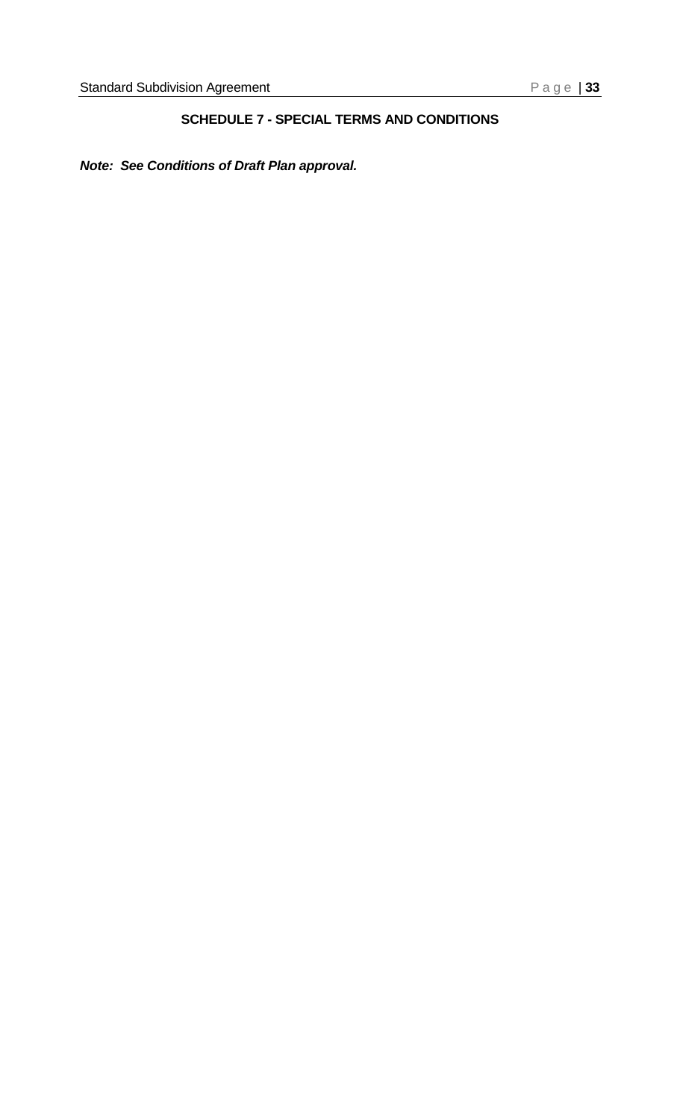# **SCHEDULE 7 - SPECIAL TERMS AND CONDITIONS**

<span id="page-30-0"></span>*Note: See Conditions of Draft Plan approval.*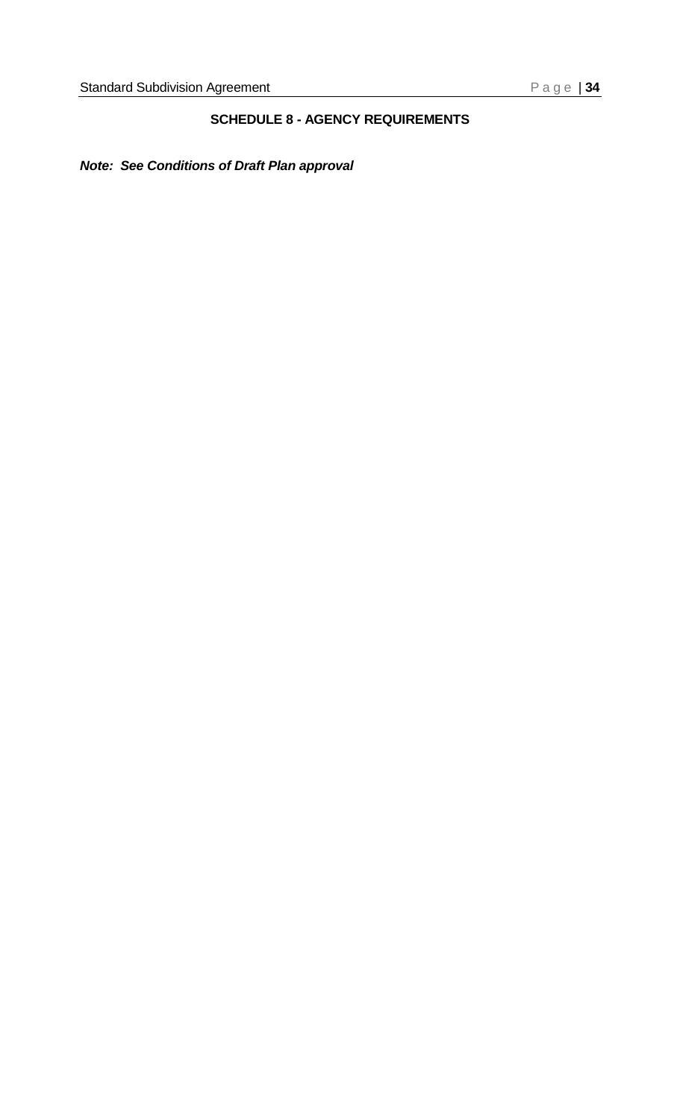# **SCHEDULE 8 - AGENCY REQUIREMENTS**

# <span id="page-31-0"></span>*Note: See Conditions of Draft Plan approval*